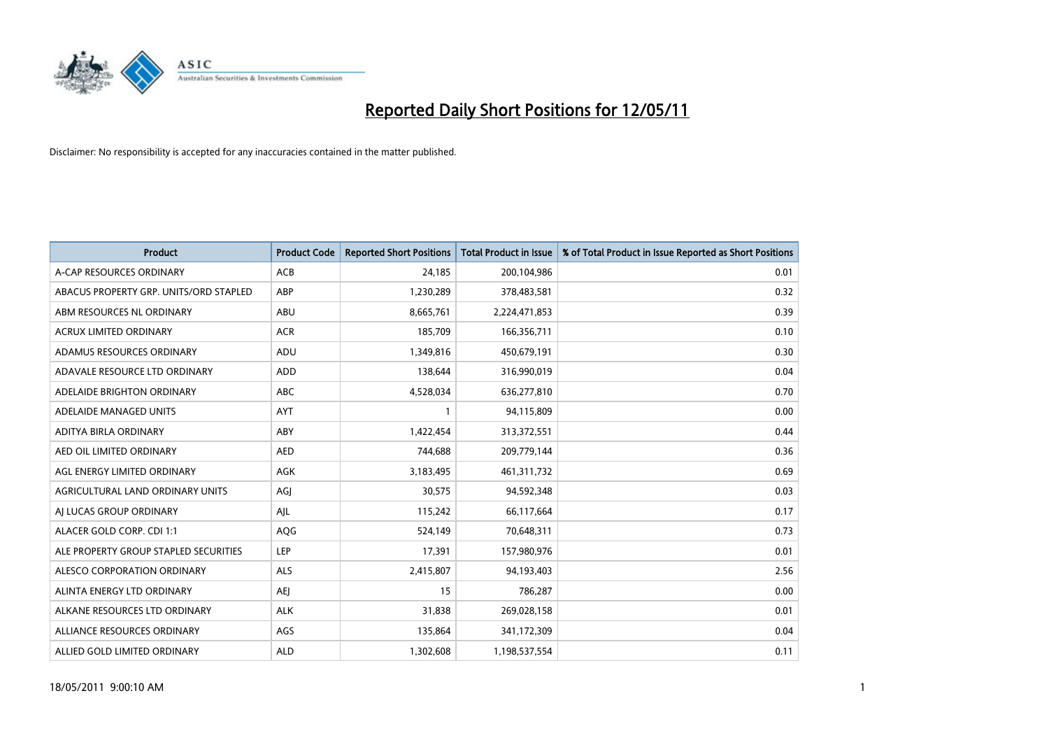

| <b>Product</b>                         | <b>Product Code</b> | <b>Reported Short Positions</b> | Total Product in Issue | % of Total Product in Issue Reported as Short Positions |
|----------------------------------------|---------------------|---------------------------------|------------------------|---------------------------------------------------------|
| A-CAP RESOURCES ORDINARY               | <b>ACB</b>          | 24,185                          | 200,104,986            | 0.01                                                    |
| ABACUS PROPERTY GRP. UNITS/ORD STAPLED | ABP                 | 1,230,289                       | 378,483,581            | 0.32                                                    |
| ABM RESOURCES NL ORDINARY              | ABU                 | 8,665,761                       | 2,224,471,853          | 0.39                                                    |
| ACRUX LIMITED ORDINARY                 | <b>ACR</b>          | 185,709                         | 166,356,711            | 0.10                                                    |
| ADAMUS RESOURCES ORDINARY              | ADU                 | 1,349,816                       | 450,679,191            | 0.30                                                    |
| ADAVALE RESOURCE LTD ORDINARY          | ADD                 | 138,644                         | 316,990,019            | 0.04                                                    |
| ADELAIDE BRIGHTON ORDINARY             | <b>ABC</b>          | 4,528,034                       | 636,277,810            | 0.70                                                    |
| ADELAIDE MANAGED UNITS                 | <b>AYT</b>          |                                 | 94,115,809             | 0.00                                                    |
| ADITYA BIRLA ORDINARY                  | ABY                 | 1,422,454                       | 313,372,551            | 0.44                                                    |
| AED OIL LIMITED ORDINARY               | <b>AED</b>          | 744,688                         | 209,779,144            | 0.36                                                    |
| AGL ENERGY LIMITED ORDINARY            | <b>AGK</b>          | 3,183,495                       | 461,311,732            | 0.69                                                    |
| AGRICULTURAL LAND ORDINARY UNITS       | AGJ                 | 30,575                          | 94,592,348             | 0.03                                                    |
| AI LUCAS GROUP ORDINARY                | AJL                 | 115,242                         | 66,117,664             | 0.17                                                    |
| ALACER GOLD CORP. CDI 1:1              | AQG                 | 524,149                         | 70,648,311             | 0.73                                                    |
| ALE PROPERTY GROUP STAPLED SECURITIES  | LEP                 | 17,391                          | 157,980,976            | 0.01                                                    |
| ALESCO CORPORATION ORDINARY            | ALS                 | 2,415,807                       | 94,193,403             | 2.56                                                    |
| ALINTA ENERGY LTD ORDINARY             | <b>AEI</b>          | 15                              | 786,287                | 0.00                                                    |
| ALKANE RESOURCES LTD ORDINARY          | <b>ALK</b>          | 31,838                          | 269,028,158            | 0.01                                                    |
| ALLIANCE RESOURCES ORDINARY            | AGS                 | 135,864                         | 341,172,309            | 0.04                                                    |
| ALLIED GOLD LIMITED ORDINARY           | <b>ALD</b>          | 1,302,608                       | 1,198,537,554          | 0.11                                                    |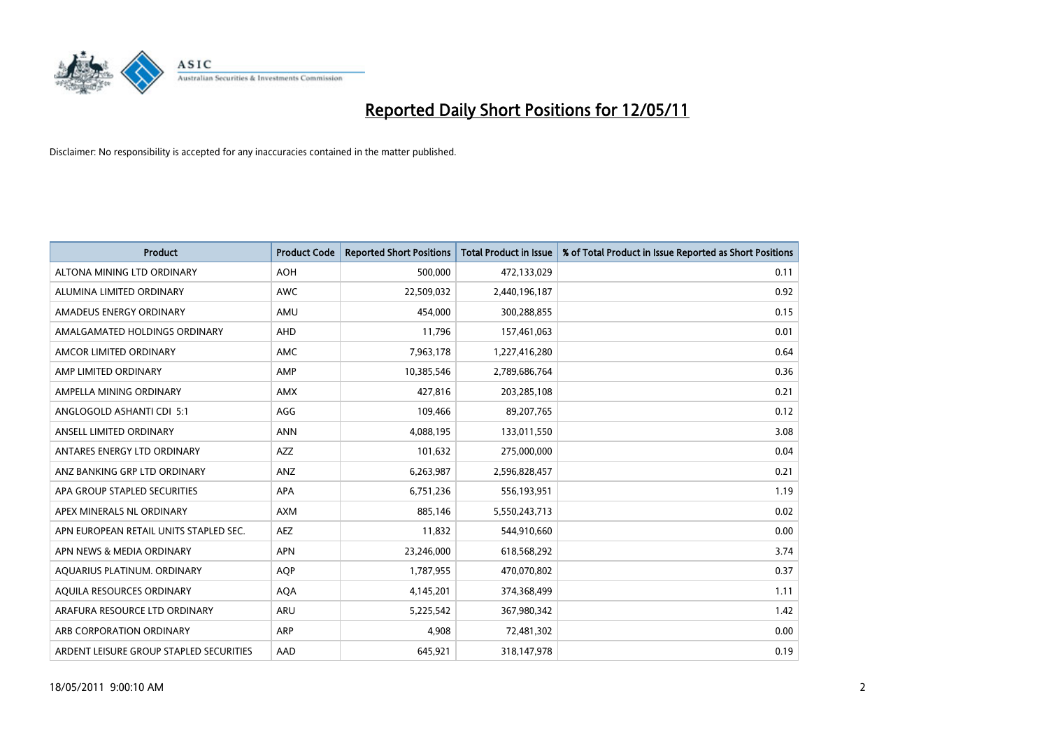

| <b>Product</b>                          | <b>Product Code</b> | <b>Reported Short Positions</b> | <b>Total Product in Issue</b> | % of Total Product in Issue Reported as Short Positions |
|-----------------------------------------|---------------------|---------------------------------|-------------------------------|---------------------------------------------------------|
| ALTONA MINING LTD ORDINARY              | <b>AOH</b>          | 500.000                         | 472,133,029                   | 0.11                                                    |
| ALUMINA LIMITED ORDINARY                | <b>AWC</b>          | 22,509,032                      | 2,440,196,187                 | 0.92                                                    |
| AMADEUS ENERGY ORDINARY                 | AMU                 | 454.000                         | 300,288,855                   | 0.15                                                    |
| AMALGAMATED HOLDINGS ORDINARY           | AHD                 | 11,796                          | 157,461,063                   | 0.01                                                    |
| AMCOR LIMITED ORDINARY                  | <b>AMC</b>          | 7,963,178                       | 1,227,416,280                 | 0.64                                                    |
| AMP LIMITED ORDINARY                    | AMP                 | 10,385,546                      | 2,789,686,764                 | 0.36                                                    |
| AMPELLA MINING ORDINARY                 | <b>AMX</b>          | 427.816                         | 203,285,108                   | 0.21                                                    |
| ANGLOGOLD ASHANTI CDI 5:1               | AGG                 | 109,466                         | 89,207,765                    | 0.12                                                    |
| ANSELL LIMITED ORDINARY                 | <b>ANN</b>          | 4,088,195                       | 133,011,550                   | 3.08                                                    |
| ANTARES ENERGY LTD ORDINARY             | <b>AZZ</b>          | 101,632                         | 275,000,000                   | 0.04                                                    |
| ANZ BANKING GRP LTD ORDINARY            | ANZ                 | 6,263,987                       | 2,596,828,457                 | 0.21                                                    |
| APA GROUP STAPLED SECURITIES            | <b>APA</b>          | 6,751,236                       | 556,193,951                   | 1.19                                                    |
| APEX MINERALS NL ORDINARY               | <b>AXM</b>          | 885,146                         | 5,550,243,713                 | 0.02                                                    |
| APN EUROPEAN RETAIL UNITS STAPLED SEC.  | <b>AEZ</b>          | 11,832                          | 544,910,660                   | 0.00                                                    |
| APN NEWS & MEDIA ORDINARY               | <b>APN</b>          | 23,246,000                      | 618,568,292                   | 3.74                                                    |
| AQUARIUS PLATINUM. ORDINARY             | <b>AOP</b>          | 1,787,955                       | 470,070,802                   | 0.37                                                    |
| AQUILA RESOURCES ORDINARY               | <b>AQA</b>          | 4,145,201                       | 374,368,499                   | 1.11                                                    |
| ARAFURA RESOURCE LTD ORDINARY           | <b>ARU</b>          | 5,225,542                       | 367,980,342                   | 1.42                                                    |
| ARB CORPORATION ORDINARY                | <b>ARP</b>          | 4.908                           | 72,481,302                    | 0.00                                                    |
| ARDENT LEISURE GROUP STAPLED SECURITIES | AAD                 | 645.921                         | 318,147,978                   | 0.19                                                    |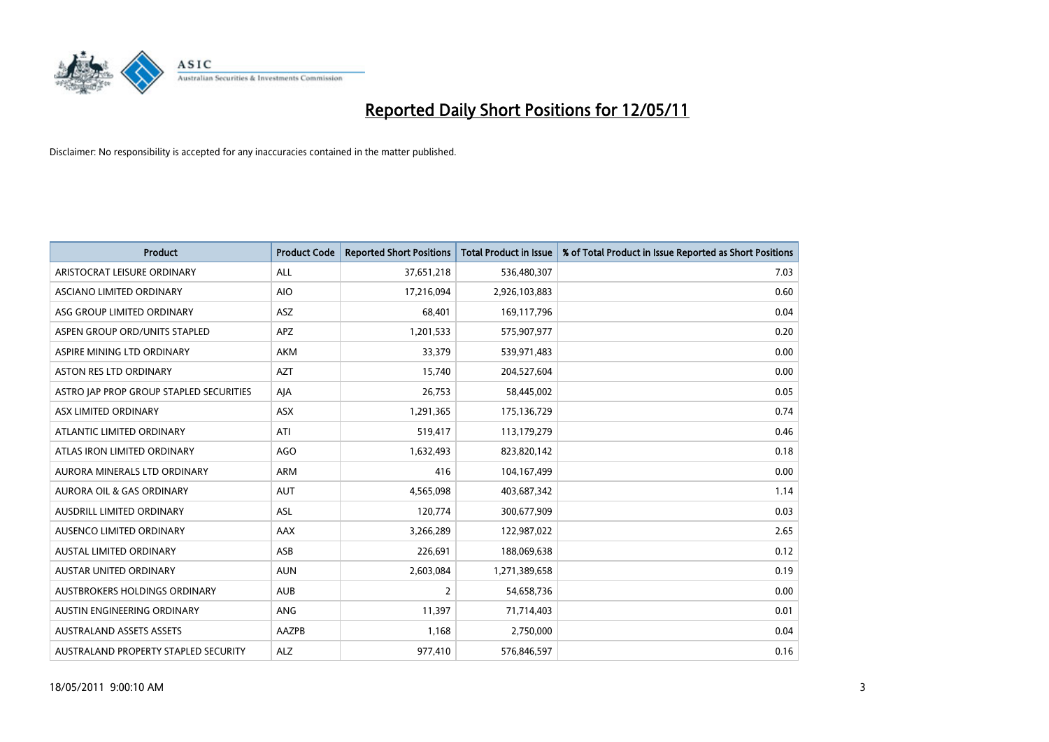

| <b>Product</b>                          | <b>Product Code</b> | <b>Reported Short Positions</b> | Total Product in Issue | % of Total Product in Issue Reported as Short Positions |
|-----------------------------------------|---------------------|---------------------------------|------------------------|---------------------------------------------------------|
| ARISTOCRAT LEISURE ORDINARY             | ALL                 | 37,651,218                      | 536,480,307            | 7.03                                                    |
| ASCIANO LIMITED ORDINARY                | <b>AIO</b>          | 17,216,094                      | 2,926,103,883          | 0.60                                                    |
| ASG GROUP LIMITED ORDINARY              | <b>ASZ</b>          | 68,401                          | 169,117,796            | 0.04                                                    |
| ASPEN GROUP ORD/UNITS STAPLED           | APZ                 | 1,201,533                       | 575,907,977            | 0.20                                                    |
| ASPIRE MINING LTD ORDINARY              | <b>AKM</b>          | 33,379                          | 539,971,483            | 0.00                                                    |
| <b>ASTON RES LTD ORDINARY</b>           | <b>AZT</b>          | 15,740                          | 204,527,604            | 0.00                                                    |
| ASTRO JAP PROP GROUP STAPLED SECURITIES | AJA                 | 26,753                          | 58,445,002             | 0.05                                                    |
| ASX LIMITED ORDINARY                    | ASX                 | 1,291,365                       | 175,136,729            | 0.74                                                    |
| ATLANTIC LIMITED ORDINARY               | ATI                 | 519,417                         | 113,179,279            | 0.46                                                    |
| ATLAS IRON LIMITED ORDINARY             | <b>AGO</b>          | 1,632,493                       | 823,820,142            | 0.18                                                    |
| AURORA MINERALS LTD ORDINARY            | <b>ARM</b>          | 416                             | 104,167,499            | 0.00                                                    |
| AURORA OIL & GAS ORDINARY               | <b>AUT</b>          | 4,565,098                       | 403,687,342            | 1.14                                                    |
| AUSDRILL LIMITED ORDINARY               | <b>ASL</b>          | 120,774                         | 300,677,909            | 0.03                                                    |
| AUSENCO LIMITED ORDINARY                | <b>AAX</b>          | 3,266,289                       | 122,987,022            | 2.65                                                    |
| <b>AUSTAL LIMITED ORDINARY</b>          | ASB                 | 226,691                         | 188,069,638            | 0.12                                                    |
| <b>AUSTAR UNITED ORDINARY</b>           | <b>AUN</b>          | 2,603,084                       | 1,271,389,658          | 0.19                                                    |
| AUSTBROKERS HOLDINGS ORDINARY           | <b>AUB</b>          | 2                               | 54,658,736             | 0.00                                                    |
| AUSTIN ENGINEERING ORDINARY             | ANG                 | 11,397                          | 71,714,403             | 0.01                                                    |
| <b>AUSTRALAND ASSETS ASSETS</b>         | AAZPB               | 1,168                           | 2,750,000              | 0.04                                                    |
| AUSTRALAND PROPERTY STAPLED SECURITY    | <b>ALZ</b>          | 977,410                         | 576,846,597            | 0.16                                                    |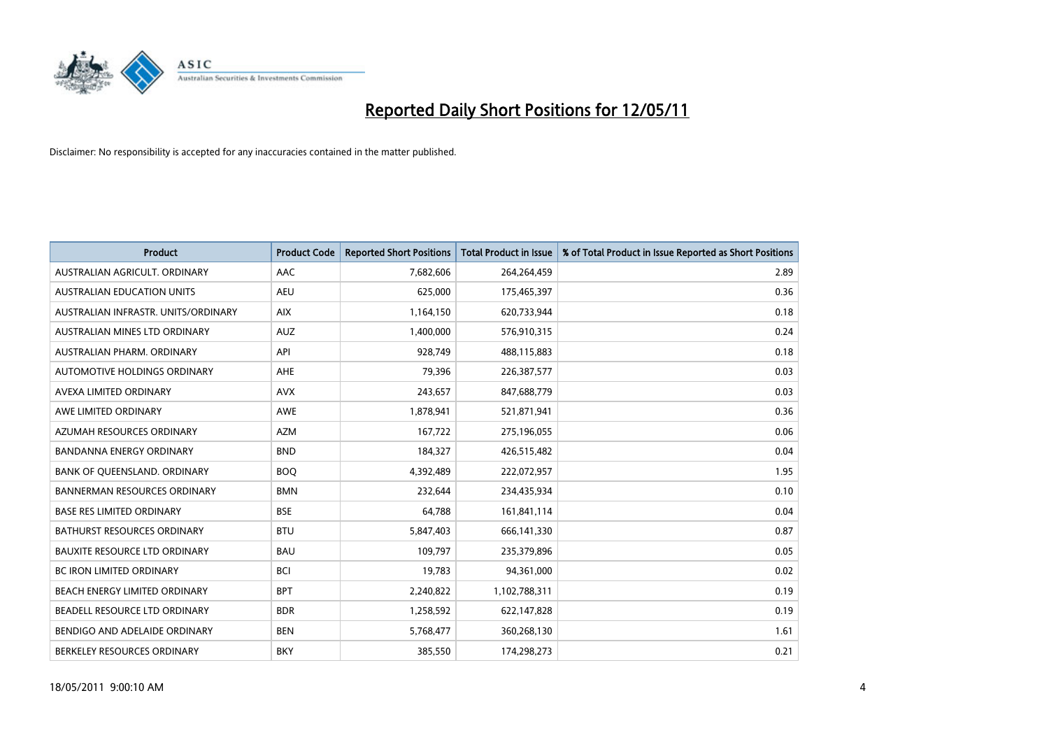

| <b>Product</b>                       | <b>Product Code</b> | <b>Reported Short Positions</b> | Total Product in Issue | % of Total Product in Issue Reported as Short Positions |
|--------------------------------------|---------------------|---------------------------------|------------------------|---------------------------------------------------------|
| AUSTRALIAN AGRICULT, ORDINARY        | AAC                 | 7,682,606                       | 264,264,459            | 2.89                                                    |
| AUSTRALIAN EDUCATION UNITS           | <b>AEU</b>          | 625,000                         | 175,465,397            | 0.36                                                    |
| AUSTRALIAN INFRASTR, UNITS/ORDINARY  | <b>AIX</b>          | 1,164,150                       | 620,733,944            | 0.18                                                    |
| AUSTRALIAN MINES LTD ORDINARY        | <b>AUZ</b>          | 1,400,000                       | 576,910,315            | 0.24                                                    |
| AUSTRALIAN PHARM, ORDINARY           | API                 | 928,749                         | 488,115,883            | 0.18                                                    |
| AUTOMOTIVE HOLDINGS ORDINARY         | <b>AHE</b>          | 79,396                          | 226,387,577            | 0.03                                                    |
| AVEXA LIMITED ORDINARY               | <b>AVX</b>          | 243,657                         | 847,688,779            | 0.03                                                    |
| AWE LIMITED ORDINARY                 | <b>AWE</b>          | 1,878,941                       | 521,871,941            | 0.36                                                    |
| AZUMAH RESOURCES ORDINARY            | <b>AZM</b>          | 167,722                         | 275,196,055            | 0.06                                                    |
| <b>BANDANNA ENERGY ORDINARY</b>      | <b>BND</b>          | 184,327                         | 426,515,482            | 0.04                                                    |
| BANK OF QUEENSLAND. ORDINARY         | <b>BOO</b>          | 4,392,489                       | 222,072,957            | 1.95                                                    |
| <b>BANNERMAN RESOURCES ORDINARY</b>  | <b>BMN</b>          | 232,644                         | 234,435,934            | 0.10                                                    |
| <b>BASE RES LIMITED ORDINARY</b>     | <b>BSE</b>          | 64,788                          | 161,841,114            | 0.04                                                    |
| <b>BATHURST RESOURCES ORDINARY</b>   | <b>BTU</b>          | 5,847,403                       | 666,141,330            | 0.87                                                    |
| <b>BAUXITE RESOURCE LTD ORDINARY</b> | <b>BAU</b>          | 109,797                         | 235,379,896            | 0.05                                                    |
| BC IRON LIMITED ORDINARY             | <b>BCI</b>          | 19,783                          | 94,361,000             | 0.02                                                    |
| BEACH ENERGY LIMITED ORDINARY        | <b>BPT</b>          | 2,240,822                       | 1,102,788,311          | 0.19                                                    |
| BEADELL RESOURCE LTD ORDINARY        | <b>BDR</b>          | 1,258,592                       | 622,147,828            | 0.19                                                    |
| BENDIGO AND ADELAIDE ORDINARY        | <b>BEN</b>          | 5,768,477                       | 360,268,130            | 1.61                                                    |
| BERKELEY RESOURCES ORDINARY          | <b>BKY</b>          | 385,550                         | 174,298,273            | 0.21                                                    |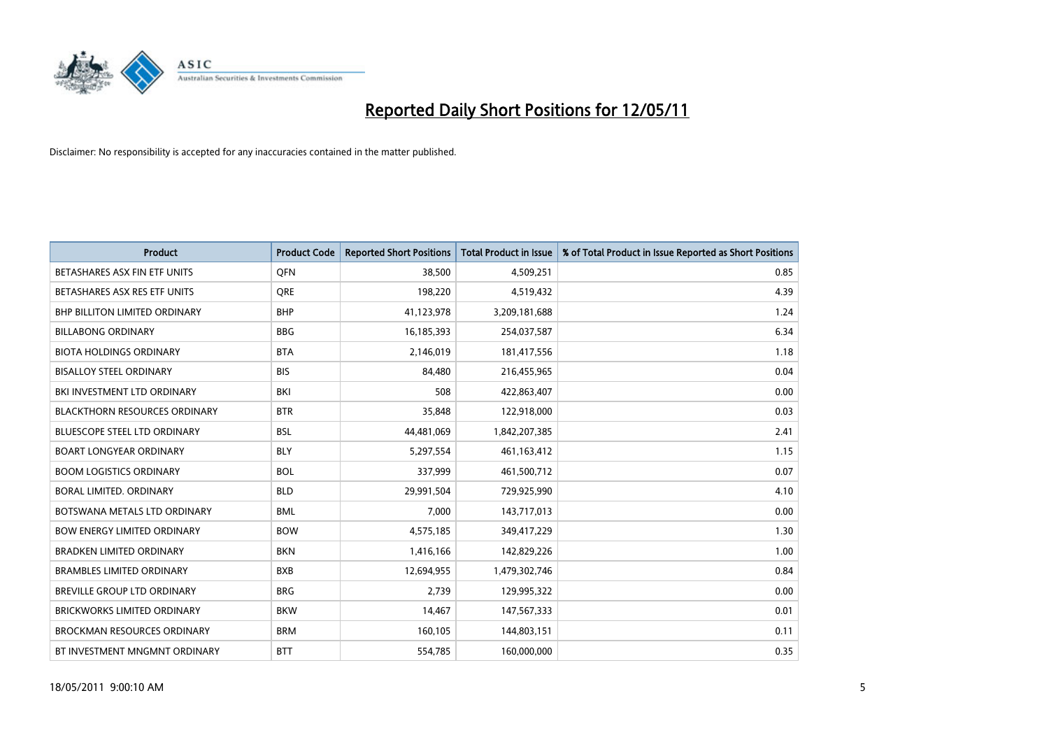

| <b>Product</b>                       | <b>Product Code</b> | <b>Reported Short Positions</b> | <b>Total Product in Issue</b> | % of Total Product in Issue Reported as Short Positions |
|--------------------------------------|---------------------|---------------------------------|-------------------------------|---------------------------------------------------------|
| BETASHARES ASX FIN ETF UNITS         | <b>OFN</b>          | 38.500                          | 4,509,251                     | 0.85                                                    |
| BETASHARES ASX RES ETF UNITS         | <b>ORE</b>          | 198,220                         | 4,519,432                     | 4.39                                                    |
| <b>BHP BILLITON LIMITED ORDINARY</b> | <b>BHP</b>          | 41,123,978                      | 3,209,181,688                 | 1.24                                                    |
| <b>BILLABONG ORDINARY</b>            | <b>BBG</b>          | 16,185,393                      | 254,037,587                   | 6.34                                                    |
| <b>BIOTA HOLDINGS ORDINARY</b>       | <b>BTA</b>          | 2,146,019                       | 181,417,556                   | 1.18                                                    |
| <b>BISALLOY STEEL ORDINARY</b>       | <b>BIS</b>          | 84,480                          | 216,455,965                   | 0.04                                                    |
| BKI INVESTMENT LTD ORDINARY          | <b>BKI</b>          | 508                             | 422,863,407                   | 0.00                                                    |
| <b>BLACKTHORN RESOURCES ORDINARY</b> | <b>BTR</b>          | 35,848                          | 122,918,000                   | 0.03                                                    |
| <b>BLUESCOPE STEEL LTD ORDINARY</b>  | <b>BSL</b>          | 44,481,069                      | 1,842,207,385                 | 2.41                                                    |
| <b>BOART LONGYEAR ORDINARY</b>       | <b>BLY</b>          | 5,297,554                       | 461,163,412                   | 1.15                                                    |
| <b>BOOM LOGISTICS ORDINARY</b>       | <b>BOL</b>          | 337,999                         | 461,500,712                   | 0.07                                                    |
| BORAL LIMITED. ORDINARY              | <b>BLD</b>          | 29,991,504                      | 729,925,990                   | 4.10                                                    |
| BOTSWANA METALS LTD ORDINARY         | <b>BML</b>          | 7,000                           | 143,717,013                   | 0.00                                                    |
| <b>BOW ENERGY LIMITED ORDINARY</b>   | <b>BOW</b>          | 4,575,185                       | 349,417,229                   | 1.30                                                    |
| <b>BRADKEN LIMITED ORDINARY</b>      | <b>BKN</b>          | 1,416,166                       | 142,829,226                   | 1.00                                                    |
| <b>BRAMBLES LIMITED ORDINARY</b>     | <b>BXB</b>          | 12,694,955                      | 1,479,302,746                 | 0.84                                                    |
| BREVILLE GROUP LTD ORDINARY          | <b>BRG</b>          | 2,739                           | 129,995,322                   | 0.00                                                    |
| <b>BRICKWORKS LIMITED ORDINARY</b>   | <b>BKW</b>          | 14,467                          | 147,567,333                   | 0.01                                                    |
| <b>BROCKMAN RESOURCES ORDINARY</b>   | <b>BRM</b>          | 160,105                         | 144,803,151                   | 0.11                                                    |
| BT INVESTMENT MNGMNT ORDINARY        | <b>BTT</b>          | 554,785                         | 160,000,000                   | 0.35                                                    |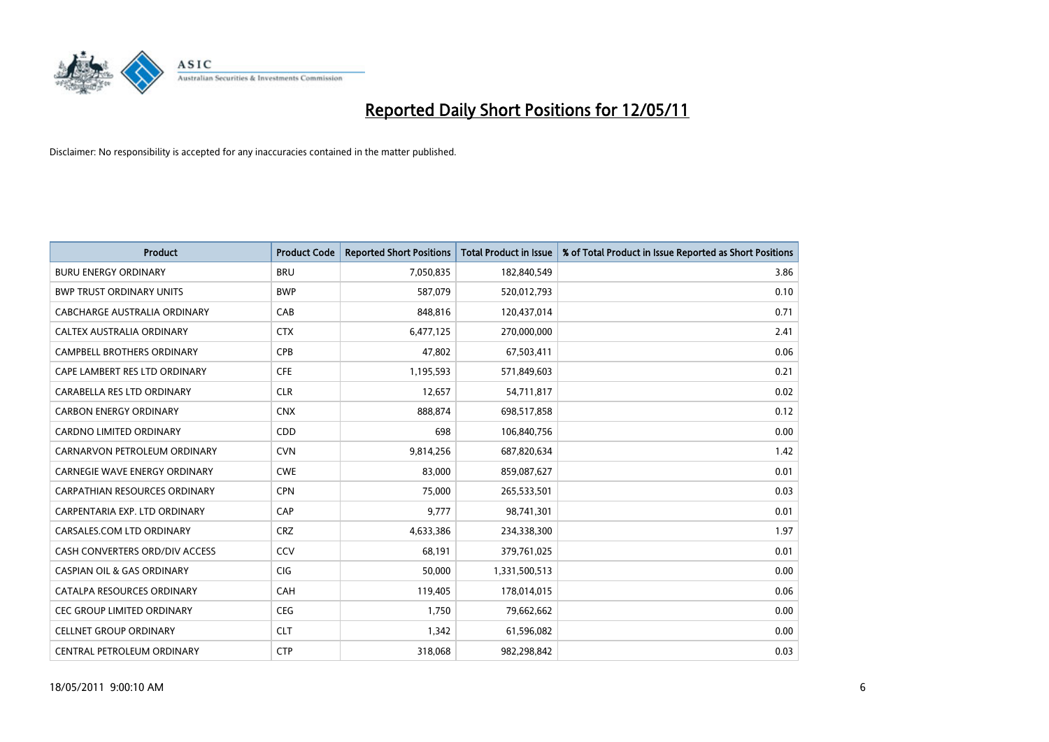

| <b>Product</b>                        | <b>Product Code</b> | <b>Reported Short Positions</b> | <b>Total Product in Issue</b> | % of Total Product in Issue Reported as Short Positions |
|---------------------------------------|---------------------|---------------------------------|-------------------------------|---------------------------------------------------------|
| <b>BURU ENERGY ORDINARY</b>           | <b>BRU</b>          | 7,050,835                       | 182,840,549                   | 3.86                                                    |
| <b>BWP TRUST ORDINARY UNITS</b>       | <b>BWP</b>          | 587,079                         | 520,012,793                   | 0.10                                                    |
| CABCHARGE AUSTRALIA ORDINARY          | CAB                 | 848,816                         | 120,437,014                   | 0.71                                                    |
| CALTEX AUSTRALIA ORDINARY             | <b>CTX</b>          | 6,477,125                       | 270,000,000                   | 2.41                                                    |
| <b>CAMPBELL BROTHERS ORDINARY</b>     | CPB                 | 47,802                          | 67,503,411                    | 0.06                                                    |
| CAPE LAMBERT RES LTD ORDINARY         | <b>CFE</b>          | 1,195,593                       | 571,849,603                   | 0.21                                                    |
| CARABELLA RES LTD ORDINARY            | <b>CLR</b>          | 12,657                          | 54,711,817                    | 0.02                                                    |
| <b>CARBON ENERGY ORDINARY</b>         | <b>CNX</b>          | 888,874                         | 698,517,858                   | 0.12                                                    |
| CARDNO LIMITED ORDINARY               | CDD                 | 698                             | 106,840,756                   | 0.00                                                    |
| CARNARVON PETROLEUM ORDINARY          | <b>CVN</b>          | 9,814,256                       | 687,820,634                   | 1.42                                                    |
| <b>CARNEGIE WAVE ENERGY ORDINARY</b>  | <b>CWE</b>          | 83,000                          | 859,087,627                   | 0.01                                                    |
| CARPATHIAN RESOURCES ORDINARY         | <b>CPN</b>          | 75.000                          | 265,533,501                   | 0.03                                                    |
| CARPENTARIA EXP. LTD ORDINARY         | CAP                 | 9,777                           | 98,741,301                    | 0.01                                                    |
| CARSALES.COM LTD ORDINARY             | <b>CRZ</b>          | 4,633,386                       | 234,338,300                   | 1.97                                                    |
| CASH CONVERTERS ORD/DIV ACCESS        | CCV                 | 68,191                          | 379,761,025                   | 0.01                                                    |
| <b>CASPIAN OIL &amp; GAS ORDINARY</b> | CIG                 | 50,000                          | 1,331,500,513                 | 0.00                                                    |
| CATALPA RESOURCES ORDINARY            | CAH                 | 119,405                         | 178,014,015                   | 0.06                                                    |
| CEC GROUP LIMITED ORDINARY            | <b>CEG</b>          | 1,750                           | 79,662,662                    | 0.00                                                    |
| <b>CELLNET GROUP ORDINARY</b>         | <b>CLT</b>          | 1,342                           | 61,596,082                    | 0.00                                                    |
| CENTRAL PETROLEUM ORDINARY            | <b>CTP</b>          | 318,068                         | 982,298,842                   | 0.03                                                    |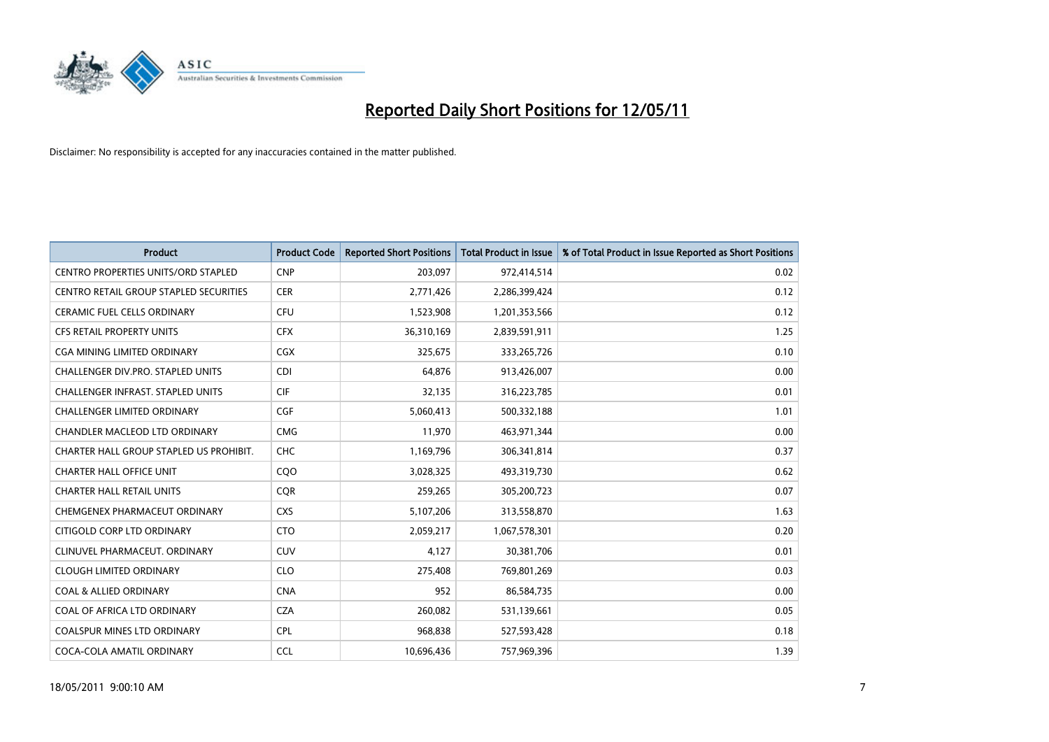

| <b>Product</b>                                | <b>Product Code</b> | <b>Reported Short Positions</b> | Total Product in Issue | % of Total Product in Issue Reported as Short Positions |
|-----------------------------------------------|---------------------|---------------------------------|------------------------|---------------------------------------------------------|
| <b>CENTRO PROPERTIES UNITS/ORD STAPLED</b>    | <b>CNP</b>          | 203,097                         | 972,414,514            | 0.02                                                    |
| <b>CENTRO RETAIL GROUP STAPLED SECURITIES</b> | <b>CER</b>          | 2,771,426                       | 2,286,399,424          | 0.12                                                    |
| <b>CERAMIC FUEL CELLS ORDINARY</b>            | <b>CFU</b>          | 1,523,908                       | 1,201,353,566          | 0.12                                                    |
| CFS RETAIL PROPERTY UNITS                     | <b>CFX</b>          | 36,310,169                      | 2,839,591,911          | 1.25                                                    |
| <b>CGA MINING LIMITED ORDINARY</b>            | <b>CGX</b>          | 325.675                         | 333,265,726            | 0.10                                                    |
| <b>CHALLENGER DIV.PRO. STAPLED UNITS</b>      | <b>CDI</b>          | 64,876                          | 913,426,007            | 0.00                                                    |
| <b>CHALLENGER INFRAST, STAPLED UNITS</b>      | <b>CIF</b>          | 32,135                          | 316,223,785            | 0.01                                                    |
| <b>CHALLENGER LIMITED ORDINARY</b>            | CGF                 | 5,060,413                       | 500,332,188            | 1.01                                                    |
| CHANDLER MACLEOD LTD ORDINARY                 | <b>CMG</b>          | 11,970                          | 463,971,344            | 0.00                                                    |
| CHARTER HALL GROUP STAPLED US PROHIBIT.       | <b>CHC</b>          | 1,169,796                       | 306,341,814            | 0.37                                                    |
| <b>CHARTER HALL OFFICE UNIT</b>               | COO                 | 3,028,325                       | 493,319,730            | 0.62                                                    |
| <b>CHARTER HALL RETAIL UNITS</b>              | <b>CQR</b>          | 259,265                         | 305,200,723            | 0.07                                                    |
| CHEMGENEX PHARMACEUT ORDINARY                 | <b>CXS</b>          | 5,107,206                       | 313,558,870            | 1.63                                                    |
| CITIGOLD CORP LTD ORDINARY                    | <b>CTO</b>          | 2,059,217                       | 1,067,578,301          | 0.20                                                    |
| CLINUVEL PHARMACEUT, ORDINARY                 | CUV                 | 4,127                           | 30,381,706             | 0.01                                                    |
| <b>CLOUGH LIMITED ORDINARY</b>                | <b>CLO</b>          | 275,408                         | 769,801,269            | 0.03                                                    |
| <b>COAL &amp; ALLIED ORDINARY</b>             | <b>CNA</b>          | 952                             | 86,584,735             | 0.00                                                    |
| COAL OF AFRICA LTD ORDINARY                   | <b>CZA</b>          | 260,082                         | 531,139,661            | 0.05                                                    |
| <b>COALSPUR MINES LTD ORDINARY</b>            | CPL                 | 968,838                         | 527,593,428            | 0.18                                                    |
| COCA-COLA AMATIL ORDINARY                     | <b>CCL</b>          | 10.696.436                      | 757,969,396            | 1.39                                                    |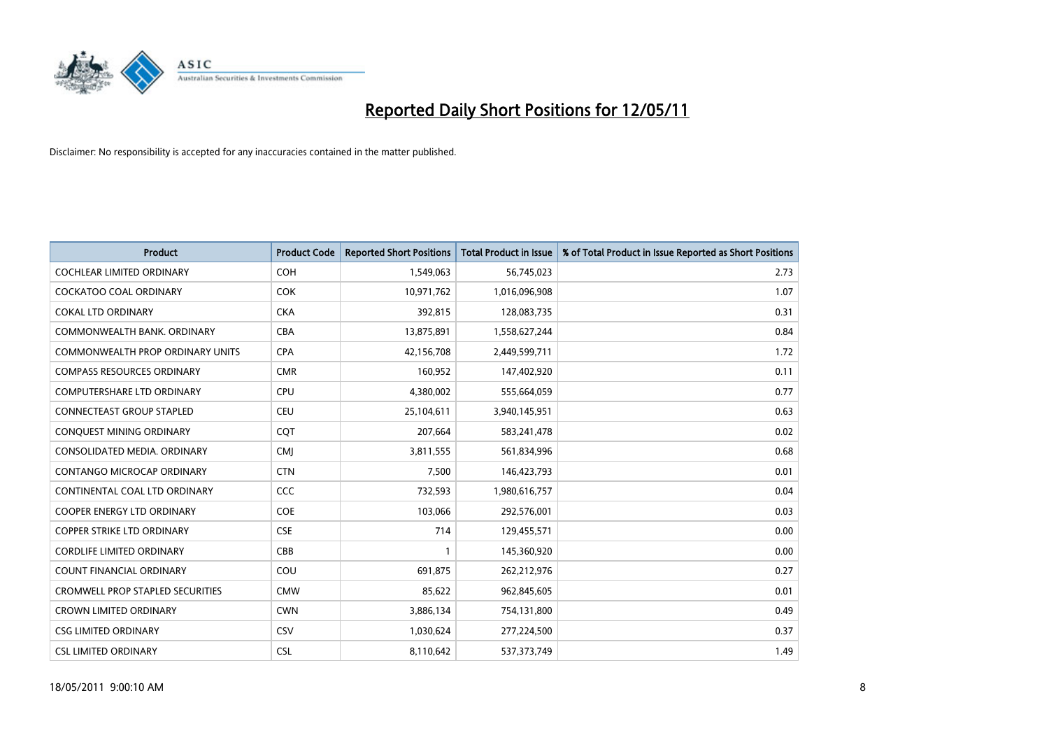

| <b>Product</b>                          | <b>Product Code</b> | <b>Reported Short Positions</b> | Total Product in Issue | % of Total Product in Issue Reported as Short Positions |
|-----------------------------------------|---------------------|---------------------------------|------------------------|---------------------------------------------------------|
| <b>COCHLEAR LIMITED ORDINARY</b>        | <b>COH</b>          | 1,549,063                       | 56,745,023             | 2.73                                                    |
| <b>COCKATOO COAL ORDINARY</b>           | <b>COK</b>          | 10,971,762                      | 1,016,096,908          | 1.07                                                    |
| <b>COKAL LTD ORDINARY</b>               | <b>CKA</b>          | 392,815                         | 128,083,735            | 0.31                                                    |
| COMMONWEALTH BANK, ORDINARY             | <b>CBA</b>          | 13,875,891                      | 1,558,627,244          | 0.84                                                    |
| <b>COMMONWEALTH PROP ORDINARY UNITS</b> | <b>CPA</b>          | 42,156,708                      | 2,449,599,711          | 1.72                                                    |
| <b>COMPASS RESOURCES ORDINARY</b>       | <b>CMR</b>          | 160,952                         | 147,402,920            | 0.11                                                    |
| <b>COMPUTERSHARE LTD ORDINARY</b>       | <b>CPU</b>          | 4,380,002                       | 555,664,059            | 0.77                                                    |
| CONNECTEAST GROUP STAPLED               | <b>CEU</b>          | 25,104,611                      | 3,940,145,951          | 0.63                                                    |
| CONQUEST MINING ORDINARY                | CQT                 | 207,664                         | 583,241,478            | 0.02                                                    |
| CONSOLIDATED MEDIA, ORDINARY            | <b>CMI</b>          | 3,811,555                       | 561,834,996            | 0.68                                                    |
| CONTANGO MICROCAP ORDINARY              | <b>CTN</b>          | 7,500                           | 146,423,793            | 0.01                                                    |
| CONTINENTAL COAL LTD ORDINARY           | CCC                 | 732,593                         | 1,980,616,757          | 0.04                                                    |
| <b>COOPER ENERGY LTD ORDINARY</b>       | <b>COE</b>          | 103,066                         | 292,576,001            | 0.03                                                    |
| <b>COPPER STRIKE LTD ORDINARY</b>       | <b>CSE</b>          | 714                             | 129,455,571            | 0.00                                                    |
| <b>CORDLIFE LIMITED ORDINARY</b>        | CBB                 |                                 | 145,360,920            | 0.00                                                    |
| <b>COUNT FINANCIAL ORDINARY</b>         | COU                 | 691.875                         | 262,212,976            | 0.27                                                    |
| <b>CROMWELL PROP STAPLED SECURITIES</b> | <b>CMW</b>          | 85,622                          | 962,845,605            | 0.01                                                    |
| <b>CROWN LIMITED ORDINARY</b>           | <b>CWN</b>          | 3,886,134                       | 754,131,800            | 0.49                                                    |
| <b>CSG LIMITED ORDINARY</b>             | CSV                 | 1,030,624                       | 277,224,500            | 0.37                                                    |
| <b>CSL LIMITED ORDINARY</b>             | <b>CSL</b>          | 8,110,642                       | 537, 373, 749          | 1.49                                                    |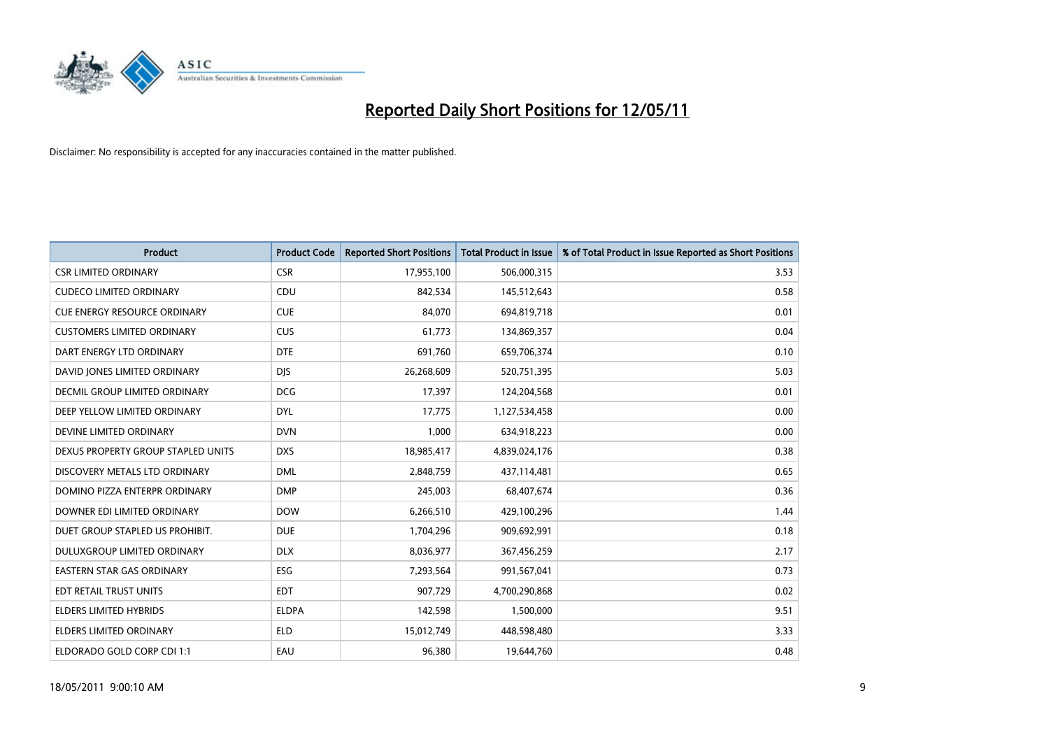

| <b>Product</b>                      | <b>Product Code</b> | <b>Reported Short Positions</b> | <b>Total Product in Issue</b> | % of Total Product in Issue Reported as Short Positions |
|-------------------------------------|---------------------|---------------------------------|-------------------------------|---------------------------------------------------------|
| <b>CSR LIMITED ORDINARY</b>         | <b>CSR</b>          | 17,955,100                      | 506,000,315                   | 3.53                                                    |
| <b>CUDECO LIMITED ORDINARY</b>      | CDU                 | 842,534                         | 145,512,643                   | 0.58                                                    |
| <b>CUE ENERGY RESOURCE ORDINARY</b> | <b>CUE</b>          | 84,070                          | 694,819,718                   | 0.01                                                    |
| <b>CUSTOMERS LIMITED ORDINARY</b>   | <b>CUS</b>          | 61,773                          | 134,869,357                   | 0.04                                                    |
| DART ENERGY LTD ORDINARY            | <b>DTE</b>          | 691,760                         | 659,706,374                   | 0.10                                                    |
| DAVID JONES LIMITED ORDINARY        | <b>DIS</b>          | 26,268,609                      | 520,751,395                   | 5.03                                                    |
| DECMIL GROUP LIMITED ORDINARY       | <b>DCG</b>          | 17,397                          | 124,204,568                   | 0.01                                                    |
| DEEP YELLOW LIMITED ORDINARY        | <b>DYL</b>          | 17,775                          | 1,127,534,458                 | 0.00                                                    |
| DEVINE LIMITED ORDINARY             | <b>DVN</b>          | 1,000                           | 634,918,223                   | 0.00                                                    |
| DEXUS PROPERTY GROUP STAPLED UNITS  | <b>DXS</b>          | 18,985,417                      | 4,839,024,176                 | 0.38                                                    |
| DISCOVERY METALS LTD ORDINARY       | <b>DML</b>          | 2,848,759                       | 437,114,481                   | 0.65                                                    |
| DOMINO PIZZA ENTERPR ORDINARY       | <b>DMP</b>          | 245,003                         | 68,407,674                    | 0.36                                                    |
| DOWNER EDI LIMITED ORDINARY         | <b>DOW</b>          | 6,266,510                       | 429,100,296                   | 1.44                                                    |
| DUET GROUP STAPLED US PROHIBIT.     | <b>DUE</b>          | 1,704,296                       | 909,692,991                   | 0.18                                                    |
| DULUXGROUP LIMITED ORDINARY         | <b>DLX</b>          | 8,036,977                       | 367,456,259                   | 2.17                                                    |
| <b>EASTERN STAR GAS ORDINARY</b>    | ESG                 | 7,293,564                       | 991,567,041                   | 0.73                                                    |
| <b>EDT RETAIL TRUST UNITS</b>       | <b>EDT</b>          | 907,729                         | 4,700,290,868                 | 0.02                                                    |
| ELDERS LIMITED HYBRIDS              | <b>ELDPA</b>        | 142,598                         | 1,500,000                     | 9.51                                                    |
| ELDERS LIMITED ORDINARY             | <b>ELD</b>          | 15,012,749                      | 448,598,480                   | 3.33                                                    |
| ELDORADO GOLD CORP CDI 1:1          | EAU                 | 96,380                          | 19,644,760                    | 0.48                                                    |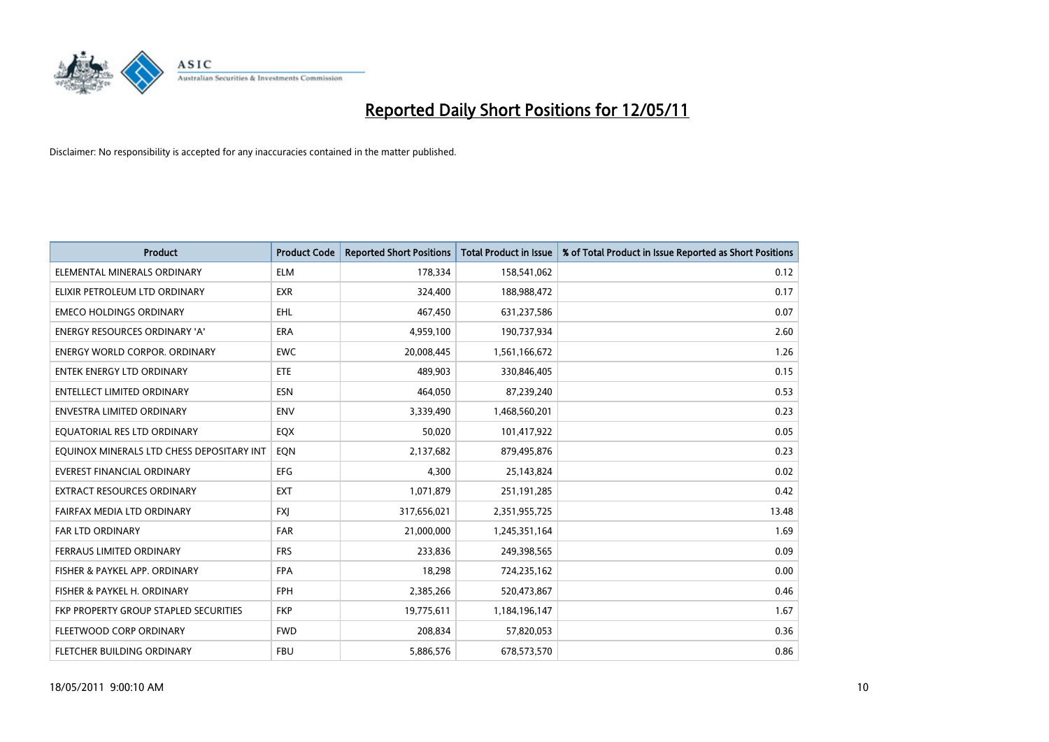

| <b>Product</b>                            | <b>Product Code</b> | <b>Reported Short Positions</b> | <b>Total Product in Issue</b> | % of Total Product in Issue Reported as Short Positions |
|-------------------------------------------|---------------------|---------------------------------|-------------------------------|---------------------------------------------------------|
| ELEMENTAL MINERALS ORDINARY               | <b>ELM</b>          | 178,334                         | 158,541,062                   | 0.12                                                    |
| ELIXIR PETROLEUM LTD ORDINARY             | <b>EXR</b>          | 324,400                         | 188,988,472                   | 0.17                                                    |
| <b>EMECO HOLDINGS ORDINARY</b>            | <b>EHL</b>          | 467,450                         | 631,237,586                   | 0.07                                                    |
| ENERGY RESOURCES ORDINARY 'A'             | <b>ERA</b>          | 4,959,100                       | 190,737,934                   | 2.60                                                    |
| <b>ENERGY WORLD CORPOR, ORDINARY</b>      | <b>EWC</b>          | 20,008,445                      | 1,561,166,672                 | 1.26                                                    |
| <b>ENTEK ENERGY LTD ORDINARY</b>          | ETE                 | 489,903                         | 330,846,405                   | 0.15                                                    |
| <b>ENTELLECT LIMITED ORDINARY</b>         | <b>ESN</b>          | 464,050                         | 87,239,240                    | 0.53                                                    |
| <b>ENVESTRA LIMITED ORDINARY</b>          | <b>ENV</b>          | 3,339,490                       | 1,468,560,201                 | 0.23                                                    |
| EQUATORIAL RES LTD ORDINARY               | <b>EQX</b>          | 50,020                          | 101,417,922                   | 0.05                                                    |
| EOUINOX MINERALS LTD CHESS DEPOSITARY INT | EON                 | 2,137,682                       | 879,495,876                   | 0.23                                                    |
| EVEREST FINANCIAL ORDINARY                | <b>EFG</b>          | 4,300                           | 25,143,824                    | 0.02                                                    |
| <b>EXTRACT RESOURCES ORDINARY</b>         | <b>EXT</b>          | 1,071,879                       | 251,191,285                   | 0.42                                                    |
| FAIRFAX MEDIA LTD ORDINARY                | <b>FXJ</b>          | 317,656,021                     | 2,351,955,725                 | 13.48                                                   |
| <b>FAR LTD ORDINARY</b>                   | FAR                 | 21,000,000                      | 1,245,351,164                 | 1.69                                                    |
| FERRAUS LIMITED ORDINARY                  | <b>FRS</b>          | 233,836                         | 249,398,565                   | 0.09                                                    |
| FISHER & PAYKEL APP. ORDINARY             | <b>FPA</b>          | 18,298                          | 724,235,162                   | 0.00                                                    |
| FISHER & PAYKEL H. ORDINARY               | <b>FPH</b>          | 2,385,266                       | 520,473,867                   | 0.46                                                    |
| FKP PROPERTY GROUP STAPLED SECURITIES     | <b>FKP</b>          | 19,775,611                      | 1,184,196,147                 | 1.67                                                    |
| FLEETWOOD CORP ORDINARY                   | <b>FWD</b>          | 208,834                         | 57,820,053                    | 0.36                                                    |
| <b>FLETCHER BUILDING ORDINARY</b>         | <b>FBU</b>          | 5,886,576                       | 678,573,570                   | 0.86                                                    |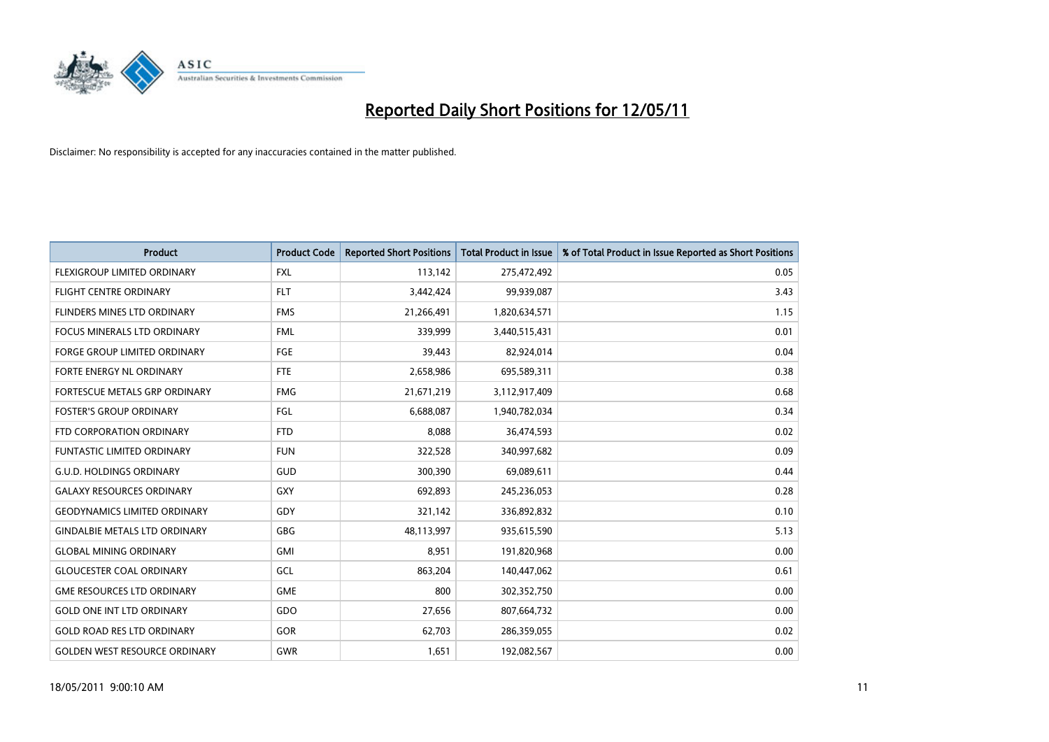

| <b>Product</b>                       | <b>Product Code</b> | <b>Reported Short Positions</b> | <b>Total Product in Issue</b> | % of Total Product in Issue Reported as Short Positions |
|--------------------------------------|---------------------|---------------------------------|-------------------------------|---------------------------------------------------------|
| FLEXIGROUP LIMITED ORDINARY          | <b>FXL</b>          | 113,142                         | 275,472,492                   | 0.05                                                    |
| <b>FLIGHT CENTRE ORDINARY</b>        | <b>FLT</b>          | 3,442,424                       | 99,939,087                    | 3.43                                                    |
| FLINDERS MINES LTD ORDINARY          | <b>FMS</b>          | 21,266,491                      | 1,820,634,571                 | 1.15                                                    |
| FOCUS MINERALS LTD ORDINARY          | <b>FML</b>          | 339,999                         | 3,440,515,431                 | 0.01                                                    |
| <b>FORGE GROUP LIMITED ORDINARY</b>  | <b>FGE</b>          | 39,443                          | 82,924,014                    | 0.04                                                    |
| <b>FORTE ENERGY NL ORDINARY</b>      | <b>FTE</b>          | 2,658,986                       | 695,589,311                   | 0.38                                                    |
| FORTESCUE METALS GRP ORDINARY        | <b>FMG</b>          | 21,671,219                      | 3,112,917,409                 | 0.68                                                    |
| <b>FOSTER'S GROUP ORDINARY</b>       | FGL                 | 6,688,087                       | 1,940,782,034                 | 0.34                                                    |
| FTD CORPORATION ORDINARY             | <b>FTD</b>          | 8,088                           | 36,474,593                    | 0.02                                                    |
| <b>FUNTASTIC LIMITED ORDINARY</b>    | <b>FUN</b>          | 322,528                         | 340,997,682                   | 0.09                                                    |
| <b>G.U.D. HOLDINGS ORDINARY</b>      | <b>GUD</b>          | 300,390                         | 69,089,611                    | 0.44                                                    |
| <b>GALAXY RESOURCES ORDINARY</b>     | <b>GXY</b>          | 692,893                         | 245,236,053                   | 0.28                                                    |
| <b>GEODYNAMICS LIMITED ORDINARY</b>  | GDY                 | 321,142                         | 336,892,832                   | 0.10                                                    |
| <b>GINDALBIE METALS LTD ORDINARY</b> | <b>GBG</b>          | 48,113,997                      | 935,615,590                   | 5.13                                                    |
| <b>GLOBAL MINING ORDINARY</b>        | <b>GMI</b>          | 8,951                           | 191,820,968                   | 0.00                                                    |
| <b>GLOUCESTER COAL ORDINARY</b>      | GCL                 | 863,204                         | 140,447,062                   | 0.61                                                    |
| <b>GME RESOURCES LTD ORDINARY</b>    | <b>GME</b>          | 800                             | 302,352,750                   | 0.00                                                    |
| <b>GOLD ONE INT LTD ORDINARY</b>     | GDO                 | 27,656                          | 807,664,732                   | 0.00                                                    |
| <b>GOLD ROAD RES LTD ORDINARY</b>    | GOR                 | 62,703                          | 286,359,055                   | 0.02                                                    |
| <b>GOLDEN WEST RESOURCE ORDINARY</b> | <b>GWR</b>          | 1,651                           | 192,082,567                   | 0.00                                                    |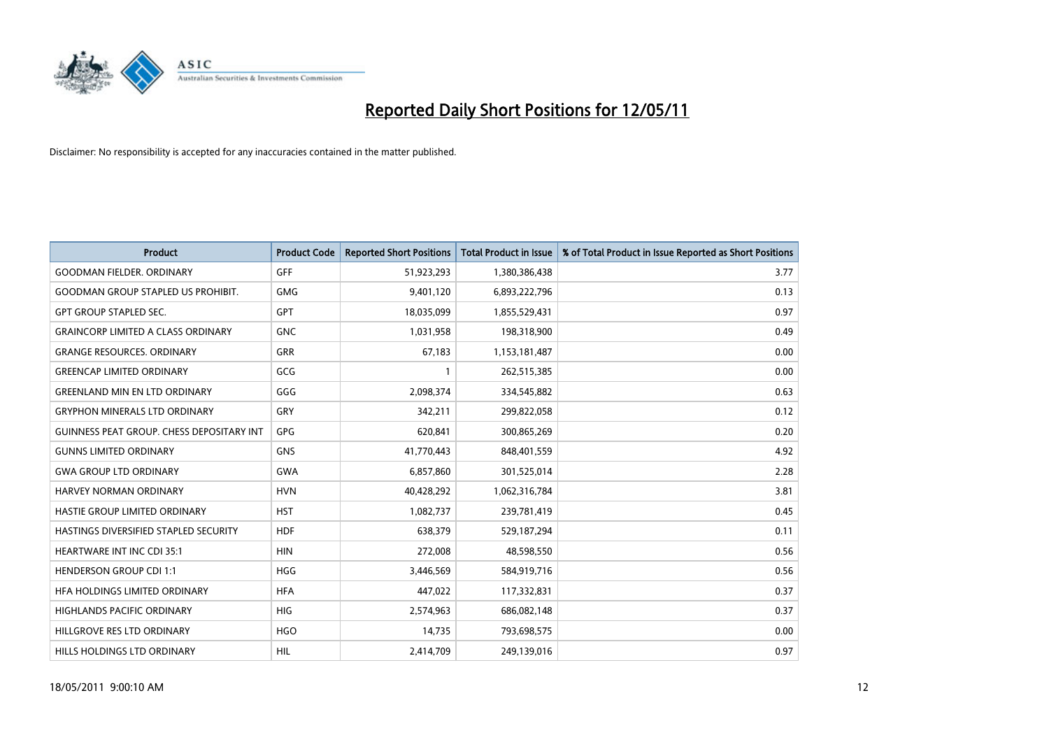

| <b>Product</b>                            | <b>Product Code</b> | <b>Reported Short Positions</b> | <b>Total Product in Issue</b> | % of Total Product in Issue Reported as Short Positions |
|-------------------------------------------|---------------------|---------------------------------|-------------------------------|---------------------------------------------------------|
| <b>GOODMAN FIELDER, ORDINARY</b>          | <b>GFF</b>          | 51,923,293                      | 1,380,386,438                 | 3.77                                                    |
| <b>GOODMAN GROUP STAPLED US PROHIBIT.</b> | <b>GMG</b>          | 9,401,120                       | 6,893,222,796                 | 0.13                                                    |
| <b>GPT GROUP STAPLED SEC.</b>             | <b>GPT</b>          | 18,035,099                      | 1,855,529,431                 | 0.97                                                    |
| <b>GRAINCORP LIMITED A CLASS ORDINARY</b> | <b>GNC</b>          | 1,031,958                       | 198,318,900                   | 0.49                                                    |
| <b>GRANGE RESOURCES, ORDINARY</b>         | <b>GRR</b>          | 67,183                          | 1,153,181,487                 | 0.00                                                    |
| <b>GREENCAP LIMITED ORDINARY</b>          | GCG                 |                                 | 262,515,385                   | 0.00                                                    |
| <b>GREENLAND MIN EN LTD ORDINARY</b>      | GGG                 | 2,098,374                       | 334,545,882                   | 0.63                                                    |
| <b>GRYPHON MINERALS LTD ORDINARY</b>      | GRY                 | 342,211                         | 299,822,058                   | 0.12                                                    |
| GUINNESS PEAT GROUP. CHESS DEPOSITARY INT | GPG                 | 620,841                         | 300,865,269                   | 0.20                                                    |
| <b>GUNNS LIMITED ORDINARY</b>             | <b>GNS</b>          | 41,770,443                      | 848,401,559                   | 4.92                                                    |
| <b>GWA GROUP LTD ORDINARY</b>             | <b>GWA</b>          | 6,857,860                       | 301,525,014                   | 2.28                                                    |
| HARVEY NORMAN ORDINARY                    | <b>HVN</b>          | 40,428,292                      | 1,062,316,784                 | 3.81                                                    |
| <b>HASTIE GROUP LIMITED ORDINARY</b>      | <b>HST</b>          | 1,082,737                       | 239,781,419                   | 0.45                                                    |
| HASTINGS DIVERSIFIED STAPLED SECURITY     | <b>HDF</b>          | 638,379                         | 529,187,294                   | 0.11                                                    |
| <b>HEARTWARE INT INC CDI 35:1</b>         | <b>HIN</b>          | 272,008                         | 48,598,550                    | 0.56                                                    |
| <b>HENDERSON GROUP CDI 1:1</b>            | <b>HGG</b>          | 3,446,569                       | 584,919,716                   | 0.56                                                    |
| HFA HOLDINGS LIMITED ORDINARY             | <b>HFA</b>          | 447,022                         | 117,332,831                   | 0.37                                                    |
| HIGHLANDS PACIFIC ORDINARY                | <b>HIG</b>          | 2,574,963                       | 686,082,148                   | 0.37                                                    |
| HILLGROVE RES LTD ORDINARY                | <b>HGO</b>          | 14,735                          | 793,698,575                   | 0.00                                                    |
| HILLS HOLDINGS LTD ORDINARY               | <b>HIL</b>          | 2,414,709                       | 249,139,016                   | 0.97                                                    |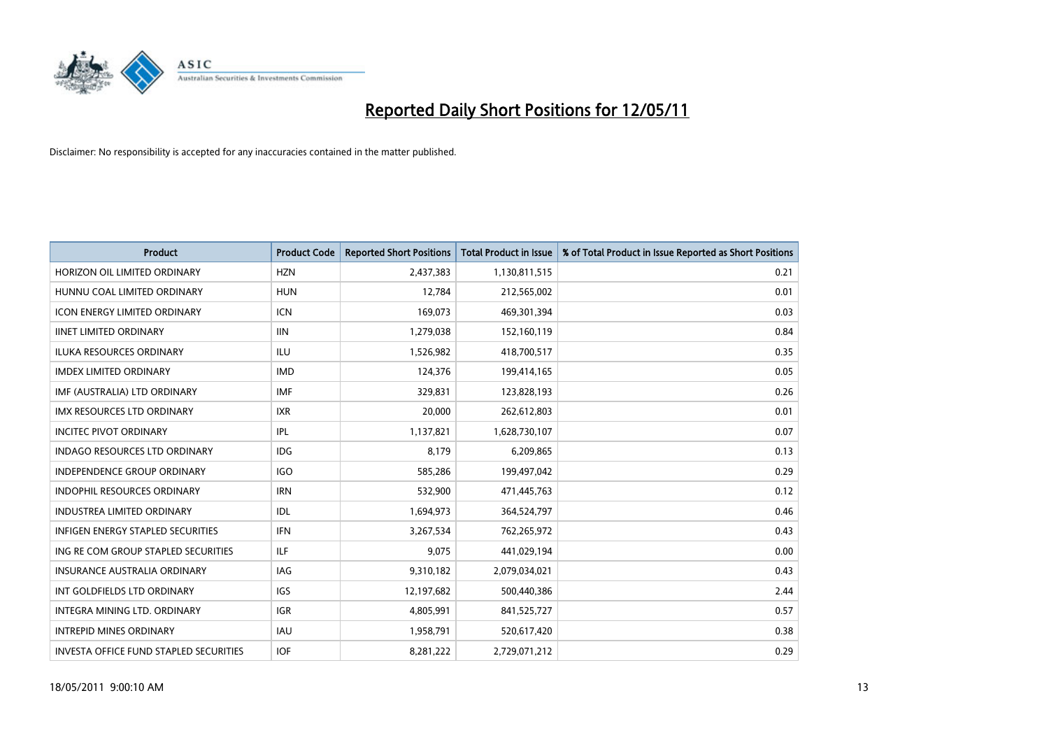

| <b>Product</b>                                | <b>Product Code</b> | <b>Reported Short Positions</b> | <b>Total Product in Issue</b> | % of Total Product in Issue Reported as Short Positions |
|-----------------------------------------------|---------------------|---------------------------------|-------------------------------|---------------------------------------------------------|
| HORIZON OIL LIMITED ORDINARY                  | <b>HZN</b>          | 2,437,383                       | 1,130,811,515                 | 0.21                                                    |
| HUNNU COAL LIMITED ORDINARY                   | <b>HUN</b>          | 12,784                          | 212,565,002                   | 0.01                                                    |
| <b>ICON ENERGY LIMITED ORDINARY</b>           | <b>ICN</b>          | 169,073                         | 469,301,394                   | 0.03                                                    |
| <b>IINET LIMITED ORDINARY</b>                 | <b>IIN</b>          | 1,279,038                       | 152,160,119                   | 0.84                                                    |
| <b>ILUKA RESOURCES ORDINARY</b>               | ILU                 | 1,526,982                       | 418,700,517                   | 0.35                                                    |
| <b>IMDEX LIMITED ORDINARY</b>                 | <b>IMD</b>          | 124,376                         | 199,414,165                   | 0.05                                                    |
| IMF (AUSTRALIA) LTD ORDINARY                  | <b>IMF</b>          | 329,831                         | 123,828,193                   | 0.26                                                    |
| IMX RESOURCES LTD ORDINARY                    | <b>IXR</b>          | 20,000                          | 262,612,803                   | 0.01                                                    |
| <b>INCITEC PIVOT ORDINARY</b>                 | <b>IPL</b>          | 1,137,821                       | 1,628,730,107                 | 0.07                                                    |
| <b>INDAGO RESOURCES LTD ORDINARY</b>          | <b>IDG</b>          | 8,179                           | 6,209,865                     | 0.13                                                    |
| <b>INDEPENDENCE GROUP ORDINARY</b>            | <b>IGO</b>          | 585,286                         | 199,497,042                   | 0.29                                                    |
| INDOPHIL RESOURCES ORDINARY                   | <b>IRN</b>          | 532,900                         | 471,445,763                   | 0.12                                                    |
| <b>INDUSTREA LIMITED ORDINARY</b>             | IDL                 | 1,694,973                       | 364,524,797                   | 0.46                                                    |
| <b>INFIGEN ENERGY STAPLED SECURITIES</b>      | <b>IFN</b>          | 3,267,534                       | 762,265,972                   | 0.43                                                    |
| ING RE COM GROUP STAPLED SECURITIES           | ILF                 | 9,075                           | 441,029,194                   | 0.00                                                    |
| INSURANCE AUSTRALIA ORDINARY                  | <b>IAG</b>          | 9,310,182                       | 2,079,034,021                 | 0.43                                                    |
| INT GOLDFIELDS LTD ORDINARY                   | <b>IGS</b>          | 12,197,682                      | 500,440,386                   | 2.44                                                    |
| INTEGRA MINING LTD. ORDINARY                  | <b>IGR</b>          | 4,805,991                       | 841,525,727                   | 0.57                                                    |
| <b>INTREPID MINES ORDINARY</b>                | <b>IAU</b>          | 1,958,791                       | 520,617,420                   | 0.38                                                    |
| <b>INVESTA OFFICE FUND STAPLED SECURITIES</b> | <b>IOF</b>          | 8,281,222                       | 2,729,071,212                 | 0.29                                                    |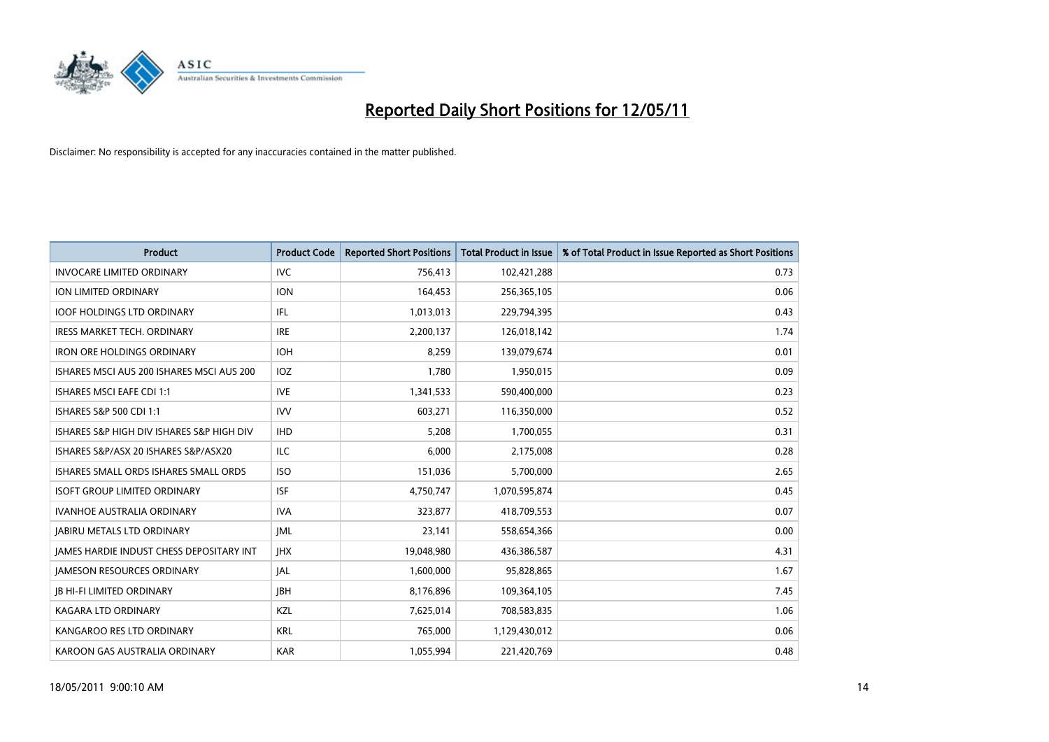

| <b>Product</b>                                  | <b>Product Code</b> | <b>Reported Short Positions</b> | <b>Total Product in Issue</b> | % of Total Product in Issue Reported as Short Positions |
|-------------------------------------------------|---------------------|---------------------------------|-------------------------------|---------------------------------------------------------|
| <b>INVOCARE LIMITED ORDINARY</b>                | <b>IVC</b>          | 756,413                         | 102,421,288                   | 0.73                                                    |
| ION LIMITED ORDINARY                            | <b>ION</b>          | 164,453                         | 256,365,105                   | 0.06                                                    |
| <b>IOOF HOLDINGS LTD ORDINARY</b>               | <b>IFL</b>          | 1,013,013                       | 229,794,395                   | 0.43                                                    |
| <b>IRESS MARKET TECH. ORDINARY</b>              | <b>IRE</b>          | 2,200,137                       | 126,018,142                   | 1.74                                                    |
| <b>IRON ORE HOLDINGS ORDINARY</b>               | <b>IOH</b>          | 8,259                           | 139,079,674                   | 0.01                                                    |
| ISHARES MSCI AUS 200 ISHARES MSCI AUS 200       | IOZ                 | 1,780                           | 1,950,015                     | 0.09                                                    |
| <b>ISHARES MSCI EAFE CDI 1:1</b>                | <b>IVE</b>          | 1,341,533                       | 590,400,000                   | 0.23                                                    |
| ISHARES S&P 500 CDI 1:1                         | <b>IVV</b>          | 603,271                         | 116,350,000                   | 0.52                                                    |
| ISHARES S&P HIGH DIV ISHARES S&P HIGH DIV       | <b>IHD</b>          | 5,208                           | 1,700,055                     | 0.31                                                    |
| ISHARES S&P/ASX 20 ISHARES S&P/ASX20            | <b>ILC</b>          | 6.000                           | 2,175,008                     | 0.28                                                    |
| <b>ISHARES SMALL ORDS ISHARES SMALL ORDS</b>    | <b>ISO</b>          | 151,036                         | 5,700,000                     | 2.65                                                    |
| <b>ISOFT GROUP LIMITED ORDINARY</b>             | <b>ISF</b>          | 4,750,747                       | 1,070,595,874                 | 0.45                                                    |
| <b>IVANHOE AUSTRALIA ORDINARY</b>               | <b>IVA</b>          | 323,877                         | 418,709,553                   | 0.07                                                    |
| <b>JABIRU METALS LTD ORDINARY</b>               | <b>JML</b>          | 23,141                          | 558,654,366                   | 0.00                                                    |
| <b>JAMES HARDIE INDUST CHESS DEPOSITARY INT</b> | <b>JHX</b>          | 19,048,980                      | 436,386,587                   | 4.31                                                    |
| <b>JAMESON RESOURCES ORDINARY</b>               | <b>JAL</b>          | 1,600,000                       | 95,828,865                    | 1.67                                                    |
| <b>JB HI-FI LIMITED ORDINARY</b>                | <b>IBH</b>          | 8,176,896                       | 109,364,105                   | 7.45                                                    |
| KAGARA LTD ORDINARY                             | KZL                 | 7,625,014                       | 708,583,835                   | 1.06                                                    |
| KANGAROO RES LTD ORDINARY                       | <b>KRL</b>          | 765.000                         | 1,129,430,012                 | 0.06                                                    |
| KAROON GAS AUSTRALIA ORDINARY                   | <b>KAR</b>          | 1.055.994                       | 221,420,769                   | 0.48                                                    |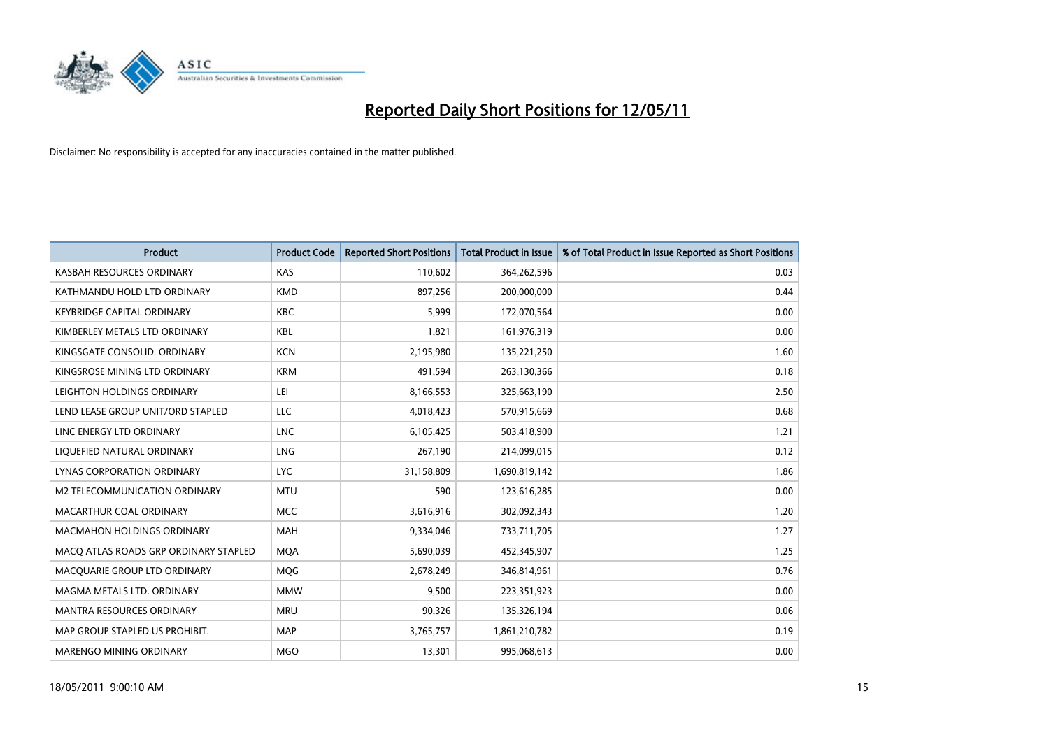

| <b>Product</b>                        | <b>Product Code</b> | <b>Reported Short Positions</b> | Total Product in Issue | % of Total Product in Issue Reported as Short Positions |
|---------------------------------------|---------------------|---------------------------------|------------------------|---------------------------------------------------------|
| KASBAH RESOURCES ORDINARY             | KAS                 | 110,602                         | 364,262,596            | 0.03                                                    |
| KATHMANDU HOLD LTD ORDINARY           | <b>KMD</b>          | 897.256                         | 200,000,000            | 0.44                                                    |
| <b>KEYBRIDGE CAPITAL ORDINARY</b>     | <b>KBC</b>          | 5,999                           | 172,070,564            | 0.00                                                    |
| KIMBERLEY METALS LTD ORDINARY         | <b>KBL</b>          | 1,821                           | 161,976,319            | 0.00                                                    |
| KINGSGATE CONSOLID, ORDINARY          | <b>KCN</b>          | 2,195,980                       | 135,221,250            | 1.60                                                    |
| KINGSROSE MINING LTD ORDINARY         | <b>KRM</b>          | 491,594                         | 263,130,366            | 0.18                                                    |
| LEIGHTON HOLDINGS ORDINARY            | LEI                 | 8,166,553                       | 325,663,190            | 2.50                                                    |
| LEND LEASE GROUP UNIT/ORD STAPLED     | LLC                 | 4,018,423                       | 570,915,669            | 0.68                                                    |
| LINC ENERGY LTD ORDINARY              | <b>LNC</b>          | 6,105,425                       | 503,418,900            | 1.21                                                    |
| LIOUEFIED NATURAL ORDINARY            | <b>LNG</b>          | 267,190                         | 214,099,015            | 0.12                                                    |
| LYNAS CORPORATION ORDINARY            | <b>LYC</b>          | 31,158,809                      | 1,690,819,142          | 1.86                                                    |
| M2 TELECOMMUNICATION ORDINARY         | <b>MTU</b>          | 590                             | 123,616,285            | 0.00                                                    |
| MACARTHUR COAL ORDINARY               | <b>MCC</b>          | 3,616,916                       | 302,092,343            | 1.20                                                    |
| <b>MACMAHON HOLDINGS ORDINARY</b>     | <b>MAH</b>          | 9,334,046                       | 733,711,705            | 1.27                                                    |
| MACO ATLAS ROADS GRP ORDINARY STAPLED | <b>MOA</b>          | 5,690,039                       | 452,345,907            | 1.25                                                    |
| MACQUARIE GROUP LTD ORDINARY          | <b>MOG</b>          | 2,678,249                       | 346,814,961            | 0.76                                                    |
| MAGMA METALS LTD. ORDINARY            | <b>MMW</b>          | 9,500                           | 223,351,923            | 0.00                                                    |
| MANTRA RESOURCES ORDINARY             | <b>MRU</b>          | 90,326                          | 135,326,194            | 0.06                                                    |
| MAP GROUP STAPLED US PROHIBIT.        | <b>MAP</b>          | 3,765,757                       | 1,861,210,782          | 0.19                                                    |
| <b>MARENGO MINING ORDINARY</b>        | <b>MGO</b>          | 13.301                          | 995,068,613            | 0.00                                                    |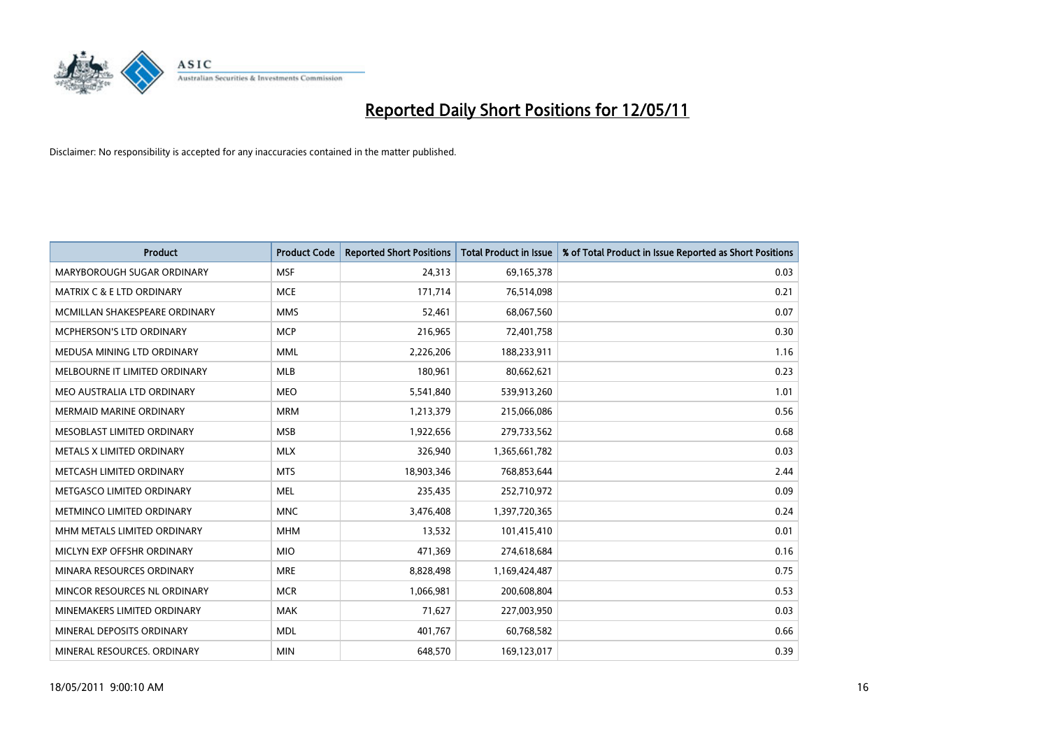

| <b>Product</b>                   | <b>Product Code</b> | <b>Reported Short Positions</b> | <b>Total Product in Issue</b> | % of Total Product in Issue Reported as Short Positions |
|----------------------------------|---------------------|---------------------------------|-------------------------------|---------------------------------------------------------|
| MARYBOROUGH SUGAR ORDINARY       | <b>MSF</b>          | 24,313                          | 69,165,378                    | 0.03                                                    |
| MATRIX C & E LTD ORDINARY        | <b>MCE</b>          | 171,714                         | 76,514,098                    | 0.21                                                    |
| MCMILLAN SHAKESPEARE ORDINARY    | <b>MMS</b>          | 52,461                          | 68,067,560                    | 0.07                                                    |
| MCPHERSON'S LTD ORDINARY         | <b>MCP</b>          | 216,965                         | 72,401,758                    | 0.30                                                    |
| MEDUSA MINING LTD ORDINARY       | <b>MML</b>          | 2,226,206                       | 188,233,911                   | 1.16                                                    |
| MELBOURNE IT LIMITED ORDINARY    | <b>MLB</b>          | 180,961                         | 80,662,621                    | 0.23                                                    |
| MEO AUSTRALIA LTD ORDINARY       | <b>MEO</b>          | 5,541,840                       | 539,913,260                   | 1.01                                                    |
| <b>MERMAID MARINE ORDINARY</b>   | <b>MRM</b>          | 1,213,379                       | 215,066,086                   | 0.56                                                    |
| MESOBLAST LIMITED ORDINARY       | <b>MSB</b>          | 1,922,656                       | 279,733,562                   | 0.68                                                    |
| METALS X LIMITED ORDINARY        | <b>MLX</b>          | 326,940                         | 1,365,661,782                 | 0.03                                                    |
| METCASH LIMITED ORDINARY         | <b>MTS</b>          | 18,903,346                      | 768,853,644                   | 2.44                                                    |
| METGASCO LIMITED ORDINARY        | <b>MEL</b>          | 235,435                         | 252,710,972                   | 0.09                                                    |
| <b>METMINCO LIMITED ORDINARY</b> | <b>MNC</b>          | 3,476,408                       | 1,397,720,365                 | 0.24                                                    |
| MHM METALS LIMITED ORDINARY      | <b>MHM</b>          | 13,532                          | 101,415,410                   | 0.01                                                    |
| MICLYN EXP OFFSHR ORDINARY       | <b>MIO</b>          | 471,369                         | 274,618,684                   | 0.16                                                    |
| MINARA RESOURCES ORDINARY        | <b>MRE</b>          | 8,828,498                       | 1,169,424,487                 | 0.75                                                    |
| MINCOR RESOURCES NL ORDINARY     | <b>MCR</b>          | 1,066,981                       | 200,608,804                   | 0.53                                                    |
| MINEMAKERS LIMITED ORDINARY      | <b>MAK</b>          | 71,627                          | 227,003,950                   | 0.03                                                    |
| MINERAL DEPOSITS ORDINARY        | <b>MDL</b>          | 401,767                         | 60,768,582                    | 0.66                                                    |
| MINERAL RESOURCES, ORDINARY      | <b>MIN</b>          | 648.570                         | 169,123,017                   | 0.39                                                    |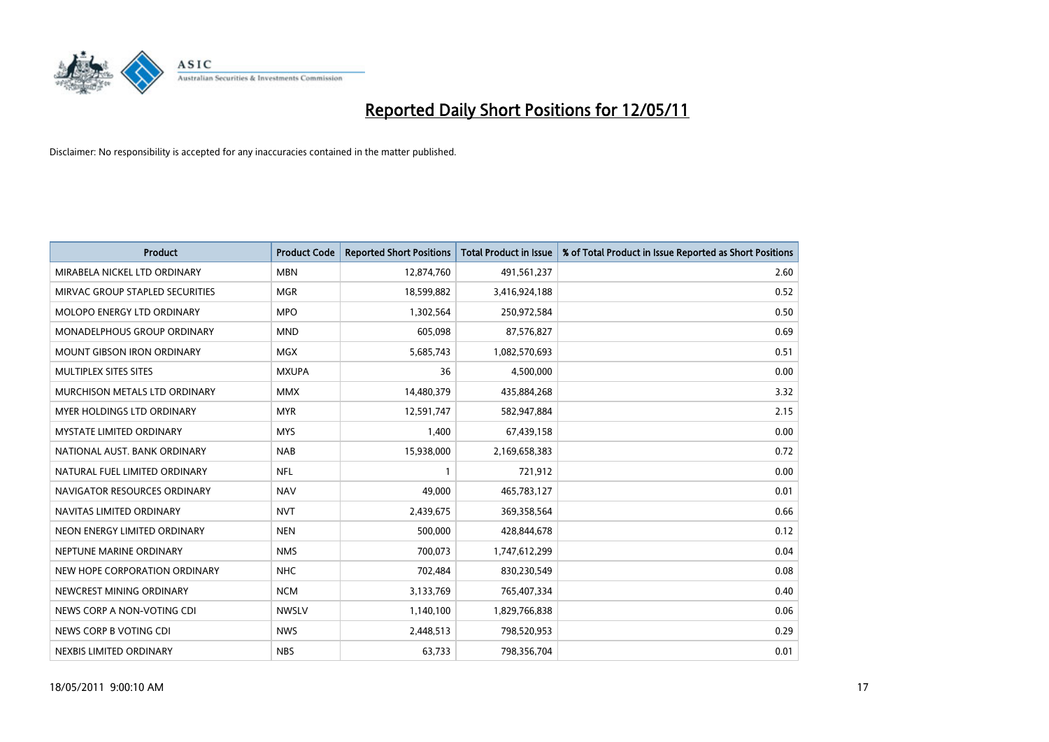

| <b>Product</b>                    | <b>Product Code</b> | <b>Reported Short Positions</b> | <b>Total Product in Issue</b> | % of Total Product in Issue Reported as Short Positions |
|-----------------------------------|---------------------|---------------------------------|-------------------------------|---------------------------------------------------------|
| MIRABELA NICKEL LTD ORDINARY      | <b>MBN</b>          | 12,874,760                      | 491,561,237                   | 2.60                                                    |
| MIRVAC GROUP STAPLED SECURITIES   | <b>MGR</b>          | 18,599,882                      | 3,416,924,188                 | 0.52                                                    |
| <b>MOLOPO ENERGY LTD ORDINARY</b> | <b>MPO</b>          | 1,302,564                       | 250,972,584                   | 0.50                                                    |
| MONADELPHOUS GROUP ORDINARY       | <b>MND</b>          | 605,098                         | 87,576,827                    | 0.69                                                    |
| <b>MOUNT GIBSON IRON ORDINARY</b> | <b>MGX</b>          | 5,685,743                       | 1,082,570,693                 | 0.51                                                    |
| MULTIPLEX SITES SITES             | <b>MXUPA</b>        | 36                              | 4,500,000                     | 0.00                                                    |
| MURCHISON METALS LTD ORDINARY     | <b>MMX</b>          | 14,480,379                      | 435,884,268                   | 3.32                                                    |
| MYER HOLDINGS LTD ORDINARY        | <b>MYR</b>          | 12,591,747                      | 582,947,884                   | 2.15                                                    |
| MYSTATE LIMITED ORDINARY          | <b>MYS</b>          | 1,400                           | 67,439,158                    | 0.00                                                    |
| NATIONAL AUST. BANK ORDINARY      | <b>NAB</b>          | 15,938,000                      | 2,169,658,383                 | 0.72                                                    |
| NATURAL FUEL LIMITED ORDINARY     | <b>NFL</b>          |                                 | 721,912                       | 0.00                                                    |
| NAVIGATOR RESOURCES ORDINARY      | <b>NAV</b>          | 49,000                          | 465,783,127                   | 0.01                                                    |
| NAVITAS LIMITED ORDINARY          | <b>NVT</b>          | 2,439,675                       | 369,358,564                   | 0.66                                                    |
| NEON ENERGY LIMITED ORDINARY      | <b>NEN</b>          | 500.000                         | 428,844,678                   | 0.12                                                    |
| NEPTUNE MARINE ORDINARY           | <b>NMS</b>          | 700,073                         | 1,747,612,299                 | 0.04                                                    |
| NEW HOPE CORPORATION ORDINARY     | <b>NHC</b>          | 702.484                         | 830,230,549                   | 0.08                                                    |
| NEWCREST MINING ORDINARY          | <b>NCM</b>          | 3,133,769                       | 765,407,334                   | 0.40                                                    |
| NEWS CORP A NON-VOTING CDI        | <b>NWSLV</b>        | 1,140,100                       | 1,829,766,838                 | 0.06                                                    |
| NEWS CORP B VOTING CDI            | <b>NWS</b>          | 2,448,513                       | 798,520,953                   | 0.29                                                    |
| NEXBIS LIMITED ORDINARY           | <b>NBS</b>          | 63,733                          | 798,356,704                   | 0.01                                                    |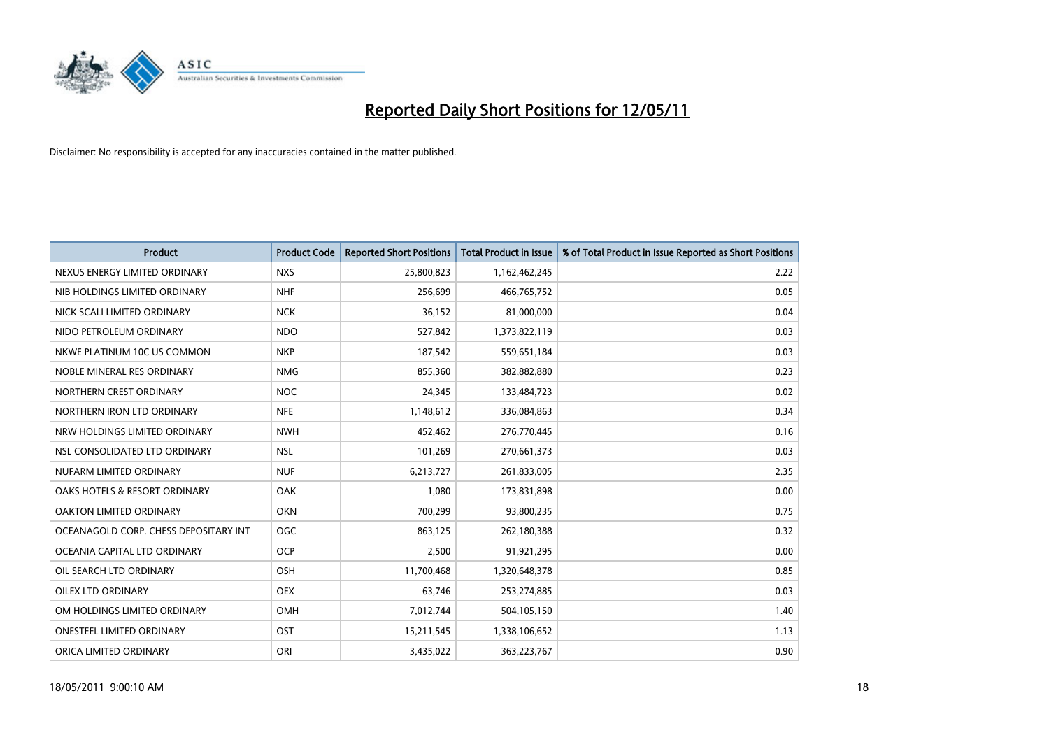

| <b>Product</b>                        | <b>Product Code</b> | <b>Reported Short Positions</b> | <b>Total Product in Issue</b> | % of Total Product in Issue Reported as Short Positions |
|---------------------------------------|---------------------|---------------------------------|-------------------------------|---------------------------------------------------------|
| NEXUS ENERGY LIMITED ORDINARY         | <b>NXS</b>          | 25,800,823                      | 1,162,462,245                 | 2.22                                                    |
| NIB HOLDINGS LIMITED ORDINARY         | <b>NHF</b>          | 256,699                         | 466,765,752                   | 0.05                                                    |
| NICK SCALI LIMITED ORDINARY           | <b>NCK</b>          | 36,152                          | 81,000,000                    | 0.04                                                    |
| NIDO PETROLEUM ORDINARY               | <b>NDO</b>          | 527,842                         | 1,373,822,119                 | 0.03                                                    |
| NKWE PLATINUM 10C US COMMON           | <b>NKP</b>          | 187,542                         | 559,651,184                   | 0.03                                                    |
| NOBLE MINERAL RES ORDINARY            | <b>NMG</b>          | 855,360                         | 382,882,880                   | 0.23                                                    |
| NORTHERN CREST ORDINARY               | <b>NOC</b>          | 24,345                          | 133,484,723                   | 0.02                                                    |
| NORTHERN IRON LTD ORDINARY            | <b>NFE</b>          | 1,148,612                       | 336,084,863                   | 0.34                                                    |
| NRW HOLDINGS LIMITED ORDINARY         | <b>NWH</b>          | 452,462                         | 276,770,445                   | 0.16                                                    |
| NSL CONSOLIDATED LTD ORDINARY         | <b>NSL</b>          | 101,269                         | 270,661,373                   | 0.03                                                    |
| NUFARM LIMITED ORDINARY               | <b>NUF</b>          | 6,213,727                       | 261,833,005                   | 2.35                                                    |
| OAKS HOTELS & RESORT ORDINARY         | OAK                 | 1.080                           | 173,831,898                   | 0.00                                                    |
| OAKTON LIMITED ORDINARY               | <b>OKN</b>          | 700,299                         | 93,800,235                    | 0.75                                                    |
| OCEANAGOLD CORP. CHESS DEPOSITARY INT | OGC                 | 863,125                         | 262,180,388                   | 0.32                                                    |
| OCEANIA CAPITAL LTD ORDINARY          | <b>OCP</b>          | 2,500                           | 91,921,295                    | 0.00                                                    |
| OIL SEARCH LTD ORDINARY               | <b>OSH</b>          | 11,700,468                      | 1,320,648,378                 | 0.85                                                    |
| <b>OILEX LTD ORDINARY</b>             | <b>OEX</b>          | 63,746                          | 253,274,885                   | 0.03                                                    |
| OM HOLDINGS LIMITED ORDINARY          | <b>OMH</b>          | 7,012,744                       | 504,105,150                   | 1.40                                                    |
| <b>ONESTEEL LIMITED ORDINARY</b>      | OST                 | 15,211,545                      | 1,338,106,652                 | 1.13                                                    |
| ORICA LIMITED ORDINARY                | ORI                 | 3.435.022                       | 363,223,767                   | 0.90                                                    |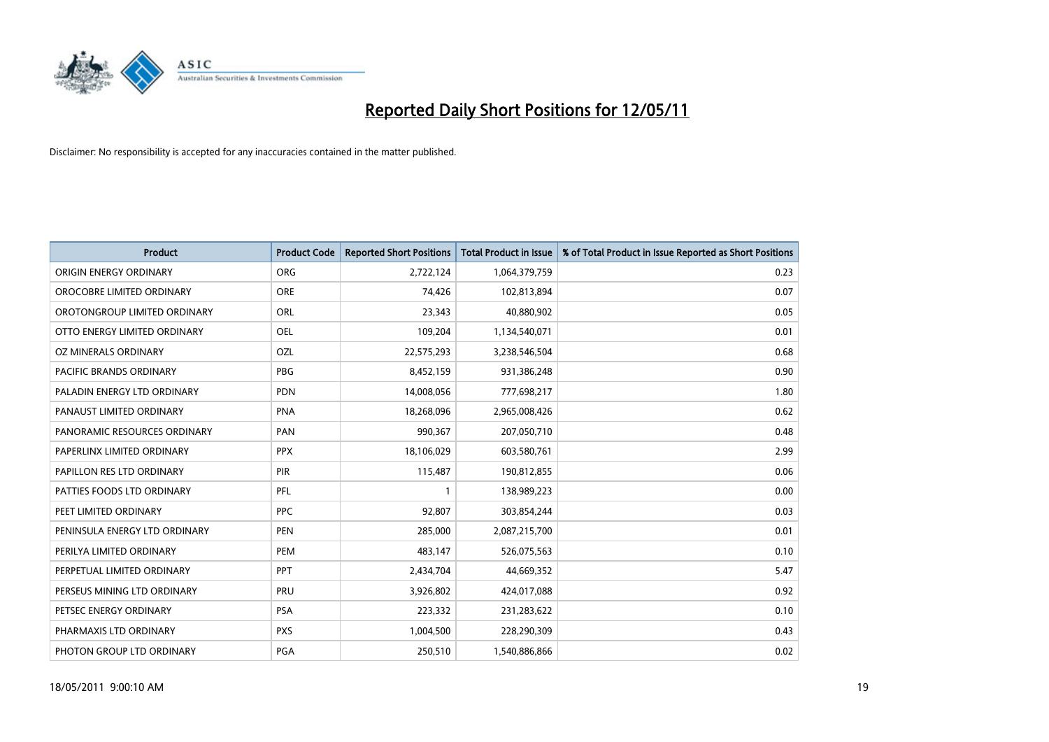

| <b>Product</b>                 | <b>Product Code</b> | <b>Reported Short Positions</b> | Total Product in Issue | % of Total Product in Issue Reported as Short Positions |
|--------------------------------|---------------------|---------------------------------|------------------------|---------------------------------------------------------|
| ORIGIN ENERGY ORDINARY         | <b>ORG</b>          | 2,722,124                       | 1,064,379,759          | 0.23                                                    |
| OROCOBRE LIMITED ORDINARY      | <b>ORE</b>          | 74,426                          | 102,813,894            | 0.07                                                    |
| OROTONGROUP LIMITED ORDINARY   | ORL                 | 23,343                          | 40,880,902             | 0.05                                                    |
| OTTO ENERGY LIMITED ORDINARY   | <b>OEL</b>          | 109,204                         | 1,134,540,071          | 0.01                                                    |
| OZ MINERALS ORDINARY           | OZL                 | 22,575,293                      | 3,238,546,504          | 0.68                                                    |
| <b>PACIFIC BRANDS ORDINARY</b> | PBG                 | 8,452,159                       | 931,386,248            | 0.90                                                    |
| PALADIN ENERGY LTD ORDINARY    | <b>PDN</b>          | 14,008,056                      | 777,698,217            | 1.80                                                    |
| PANAUST LIMITED ORDINARY       | <b>PNA</b>          | 18,268,096                      | 2,965,008,426          | 0.62                                                    |
| PANORAMIC RESOURCES ORDINARY   | PAN                 | 990,367                         | 207,050,710            | 0.48                                                    |
| PAPERLINX LIMITED ORDINARY     | <b>PPX</b>          | 18,106,029                      | 603,580,761            | 2.99                                                    |
| PAPILLON RES LTD ORDINARY      | <b>PIR</b>          | 115,487                         | 190,812,855            | 0.06                                                    |
| PATTIES FOODS LTD ORDINARY     | PFL                 |                                 | 138,989,223            | 0.00                                                    |
| PEET LIMITED ORDINARY          | PPC                 | 92.807                          | 303,854,244            | 0.03                                                    |
| PENINSULA ENERGY LTD ORDINARY  | <b>PEN</b>          | 285.000                         | 2,087,215,700          | 0.01                                                    |
| PERILYA LIMITED ORDINARY       | PEM                 | 483,147                         | 526,075,563            | 0.10                                                    |
| PERPETUAL LIMITED ORDINARY     | PPT                 | 2,434,704                       | 44,669,352             | 5.47                                                    |
| PERSEUS MINING LTD ORDINARY    | PRU                 | 3,926,802                       | 424,017,088            | 0.92                                                    |
| PETSEC ENERGY ORDINARY         | <b>PSA</b>          | 223,332                         | 231,283,622            | 0.10                                                    |
| PHARMAXIS LTD ORDINARY         | <b>PXS</b>          | 1,004,500                       | 228,290,309            | 0.43                                                    |
| PHOTON GROUP LTD ORDINARY      | <b>PGA</b>          | 250,510                         | 1,540,886,866          | 0.02                                                    |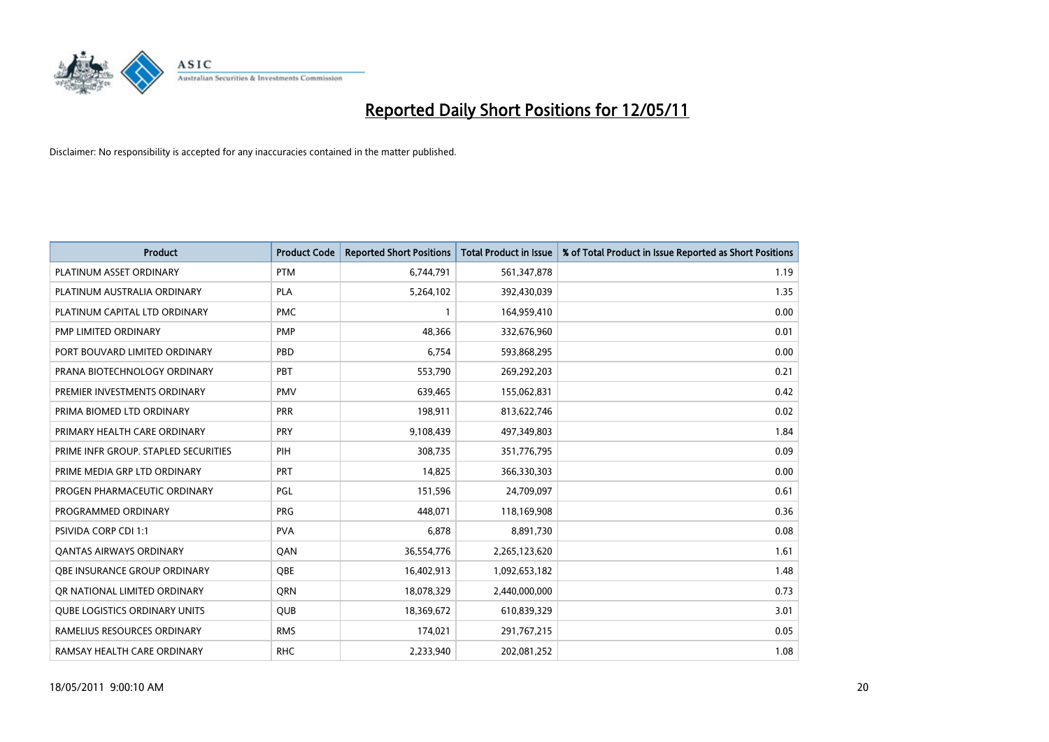

| <b>Product</b>                       | <b>Product Code</b> | <b>Reported Short Positions</b> | <b>Total Product in Issue</b> | % of Total Product in Issue Reported as Short Positions |
|--------------------------------------|---------------------|---------------------------------|-------------------------------|---------------------------------------------------------|
| PLATINUM ASSET ORDINARY              | <b>PTM</b>          | 6,744,791                       | 561,347,878                   | 1.19                                                    |
| PLATINUM AUSTRALIA ORDINARY          | <b>PLA</b>          | 5,264,102                       | 392,430,039                   | 1.35                                                    |
| PLATINUM CAPITAL LTD ORDINARY        | <b>PMC</b>          |                                 | 164,959,410                   | 0.00                                                    |
| PMP LIMITED ORDINARY                 | <b>PMP</b>          | 48,366                          | 332,676,960                   | 0.01                                                    |
| PORT BOUVARD LIMITED ORDINARY        | PBD                 | 6,754                           | 593,868,295                   | 0.00                                                    |
| PRANA BIOTECHNOLOGY ORDINARY         | PBT                 | 553,790                         | 269,292,203                   | 0.21                                                    |
| PREMIER INVESTMENTS ORDINARY         | <b>PMV</b>          | 639,465                         | 155,062,831                   | 0.42                                                    |
| PRIMA BIOMED LTD ORDINARY            | <b>PRR</b>          | 198,911                         | 813,622,746                   | 0.02                                                    |
| PRIMARY HEALTH CARE ORDINARY         | PRY                 | 9,108,439                       | 497,349,803                   | 1.84                                                    |
| PRIME INFR GROUP. STAPLED SECURITIES | PIH                 | 308,735                         | 351,776,795                   | 0.09                                                    |
| PRIME MEDIA GRP LTD ORDINARY         | <b>PRT</b>          | 14,825                          | 366,330,303                   | 0.00                                                    |
| PROGEN PHARMACEUTIC ORDINARY         | PGL                 | 151,596                         | 24,709,097                    | 0.61                                                    |
| PROGRAMMED ORDINARY                  | <b>PRG</b>          | 448,071                         | 118,169,908                   | 0.36                                                    |
| <b>PSIVIDA CORP CDI 1:1</b>          | <b>PVA</b>          | 6,878                           | 8,891,730                     | 0.08                                                    |
| <b>QANTAS AIRWAYS ORDINARY</b>       | QAN                 | 36,554,776                      | 2,265,123,620                 | 1.61                                                    |
| OBE INSURANCE GROUP ORDINARY         | OBE                 | 16,402,913                      | 1,092,653,182                 | 1.48                                                    |
| OR NATIONAL LIMITED ORDINARY         | <b>ORN</b>          | 18,078,329                      | 2,440,000,000                 | 0.73                                                    |
| <b>QUBE LOGISTICS ORDINARY UNITS</b> | QUB                 | 18,369,672                      | 610,839,329                   | 3.01                                                    |
| RAMELIUS RESOURCES ORDINARY          | <b>RMS</b>          | 174,021                         | 291,767,215                   | 0.05                                                    |
| RAMSAY HEALTH CARE ORDINARY          | <b>RHC</b>          | 2,233,940                       | 202,081,252                   | 1.08                                                    |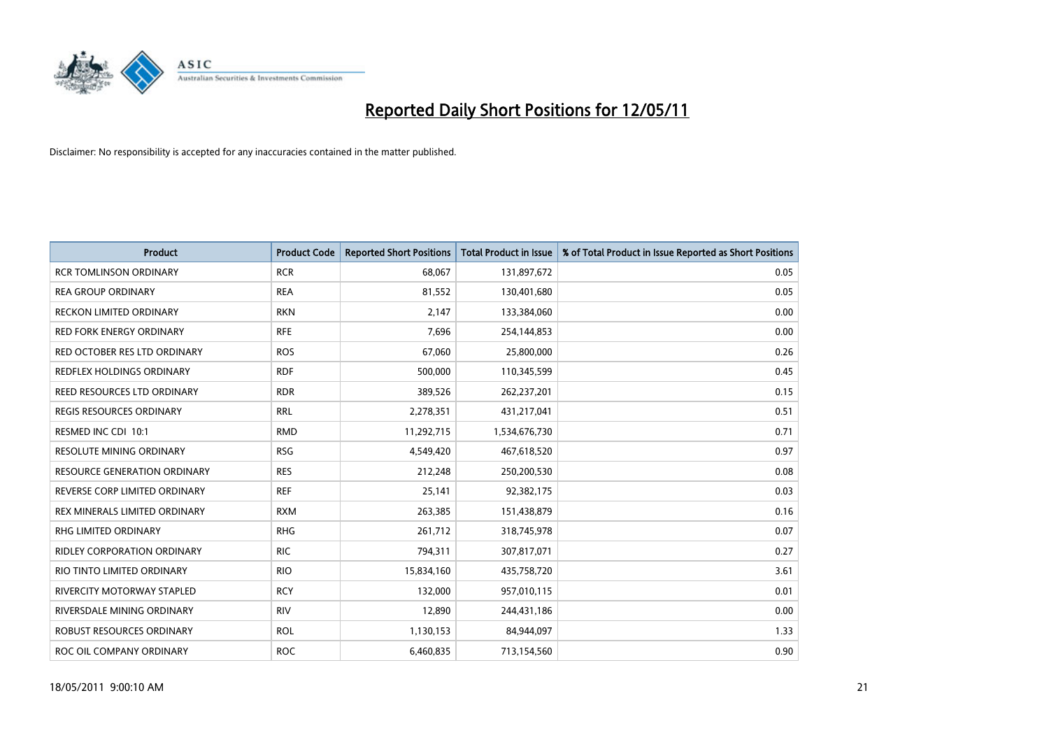

| Product                            | <b>Product Code</b> | <b>Reported Short Positions</b> | Total Product in Issue | % of Total Product in Issue Reported as Short Positions |
|------------------------------------|---------------------|---------------------------------|------------------------|---------------------------------------------------------|
| <b>RCR TOMLINSON ORDINARY</b>      | <b>RCR</b>          | 68,067                          | 131,897,672            | 0.05                                                    |
| <b>REA GROUP ORDINARY</b>          | <b>REA</b>          | 81,552                          | 130,401,680            | 0.05                                                    |
| <b>RECKON LIMITED ORDINARY</b>     | <b>RKN</b>          | 2,147                           | 133,384,060            | 0.00                                                    |
| RED FORK ENERGY ORDINARY           | <b>RFE</b>          | 7,696                           | 254,144,853            | 0.00                                                    |
| RED OCTOBER RES LTD ORDINARY       | <b>ROS</b>          | 67,060                          | 25,800,000             | 0.26                                                    |
| REDFLEX HOLDINGS ORDINARY          | <b>RDF</b>          | 500,000                         | 110,345,599            | 0.45                                                    |
| REED RESOURCES LTD ORDINARY        | <b>RDR</b>          | 389,526                         | 262,237,201            | 0.15                                                    |
| REGIS RESOURCES ORDINARY           | <b>RRL</b>          | 2,278,351                       | 431,217,041            | 0.51                                                    |
| RESMED INC CDI 10:1                | <b>RMD</b>          | 11,292,715                      | 1,534,676,730          | 0.71                                                    |
| <b>RESOLUTE MINING ORDINARY</b>    | <b>RSG</b>          | 4,549,420                       | 467,618,520            | 0.97                                                    |
| RESOURCE GENERATION ORDINARY       | <b>RES</b>          | 212,248                         | 250,200,530            | 0.08                                                    |
| REVERSE CORP LIMITED ORDINARY      | <b>REF</b>          | 25,141                          | 92,382,175             | 0.03                                                    |
| REX MINERALS LIMITED ORDINARY      | <b>RXM</b>          | 263,385                         | 151,438,879            | 0.16                                                    |
| <b>RHG LIMITED ORDINARY</b>        | <b>RHG</b>          | 261,712                         | 318,745,978            | 0.07                                                    |
| <b>RIDLEY CORPORATION ORDINARY</b> | <b>RIC</b>          | 794,311                         | 307,817,071            | 0.27                                                    |
| RIO TINTO LIMITED ORDINARY         | <b>RIO</b>          | 15,834,160                      | 435,758,720            | 3.61                                                    |
| RIVERCITY MOTORWAY STAPLED         | <b>RCY</b>          | 132,000                         | 957,010,115            | 0.01                                                    |
| RIVERSDALE MINING ORDINARY         | <b>RIV</b>          | 12,890                          | 244,431,186            | 0.00                                                    |
| ROBUST RESOURCES ORDINARY          | <b>ROL</b>          | 1,130,153                       | 84,944,097             | 1.33                                                    |
| ROC OIL COMPANY ORDINARY           | <b>ROC</b>          | 6,460,835                       | 713,154,560            | 0.90                                                    |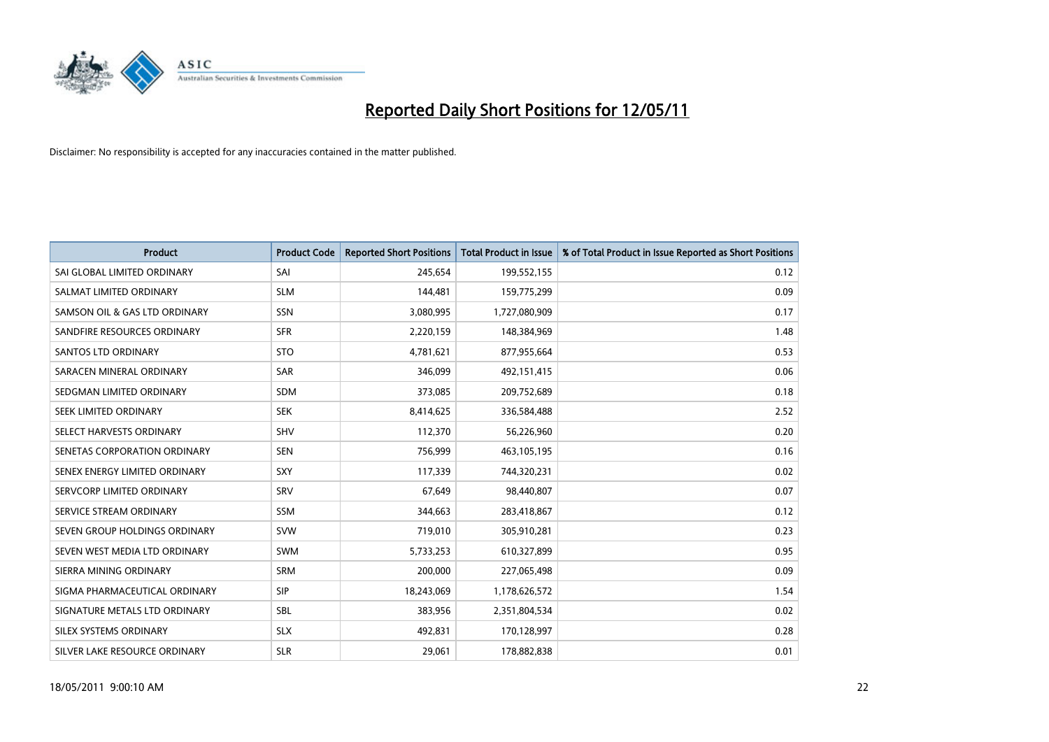

| <b>Product</b>                | <b>Product Code</b> | <b>Reported Short Positions</b> | <b>Total Product in Issue</b> | % of Total Product in Issue Reported as Short Positions |
|-------------------------------|---------------------|---------------------------------|-------------------------------|---------------------------------------------------------|
| SAI GLOBAL LIMITED ORDINARY   | SAI                 | 245,654                         | 199,552,155                   | 0.12                                                    |
| SALMAT LIMITED ORDINARY       | <b>SLM</b>          | 144,481                         | 159,775,299                   | 0.09                                                    |
| SAMSON OIL & GAS LTD ORDINARY | <b>SSN</b>          | 3,080,995                       | 1,727,080,909                 | 0.17                                                    |
| SANDFIRE RESOURCES ORDINARY   | <b>SFR</b>          | 2,220,159                       | 148,384,969                   | 1.48                                                    |
| <b>SANTOS LTD ORDINARY</b>    | <b>STO</b>          | 4,781,621                       | 877,955,664                   | 0.53                                                    |
| SARACEN MINERAL ORDINARY      | SAR                 | 346.099                         | 492,151,415                   | 0.06                                                    |
| SEDGMAN LIMITED ORDINARY      | <b>SDM</b>          | 373,085                         | 209,752,689                   | 0.18                                                    |
| SEEK LIMITED ORDINARY         | <b>SEK</b>          | 8,414,625                       | 336,584,488                   | 2.52                                                    |
| SELECT HARVESTS ORDINARY      | <b>SHV</b>          | 112,370                         | 56,226,960                    | 0.20                                                    |
| SENETAS CORPORATION ORDINARY  | <b>SEN</b>          | 756,999                         | 463,105,195                   | 0.16                                                    |
| SENEX ENERGY LIMITED ORDINARY | SXY                 | 117,339                         | 744,320,231                   | 0.02                                                    |
| SERVCORP LIMITED ORDINARY     | SRV                 | 67,649                          | 98,440,807                    | 0.07                                                    |
| SERVICE STREAM ORDINARY       | <b>SSM</b>          | 344,663                         | 283,418,867                   | 0.12                                                    |
| SEVEN GROUP HOLDINGS ORDINARY | <b>SVW</b>          | 719,010                         | 305,910,281                   | 0.23                                                    |
| SEVEN WEST MEDIA LTD ORDINARY | <b>SWM</b>          | 5,733,253                       | 610,327,899                   | 0.95                                                    |
| SIERRA MINING ORDINARY        | <b>SRM</b>          | 200,000                         | 227,065,498                   | 0.09                                                    |
| SIGMA PHARMACEUTICAL ORDINARY | <b>SIP</b>          | 18,243,069                      | 1,178,626,572                 | 1.54                                                    |
| SIGNATURE METALS LTD ORDINARY | <b>SBL</b>          | 383,956                         | 2,351,804,534                 | 0.02                                                    |
| SILEX SYSTEMS ORDINARY        | <b>SLX</b>          | 492,831                         | 170,128,997                   | 0.28                                                    |
| SILVER LAKE RESOURCE ORDINARY | <b>SLR</b>          | 29,061                          | 178,882,838                   | 0.01                                                    |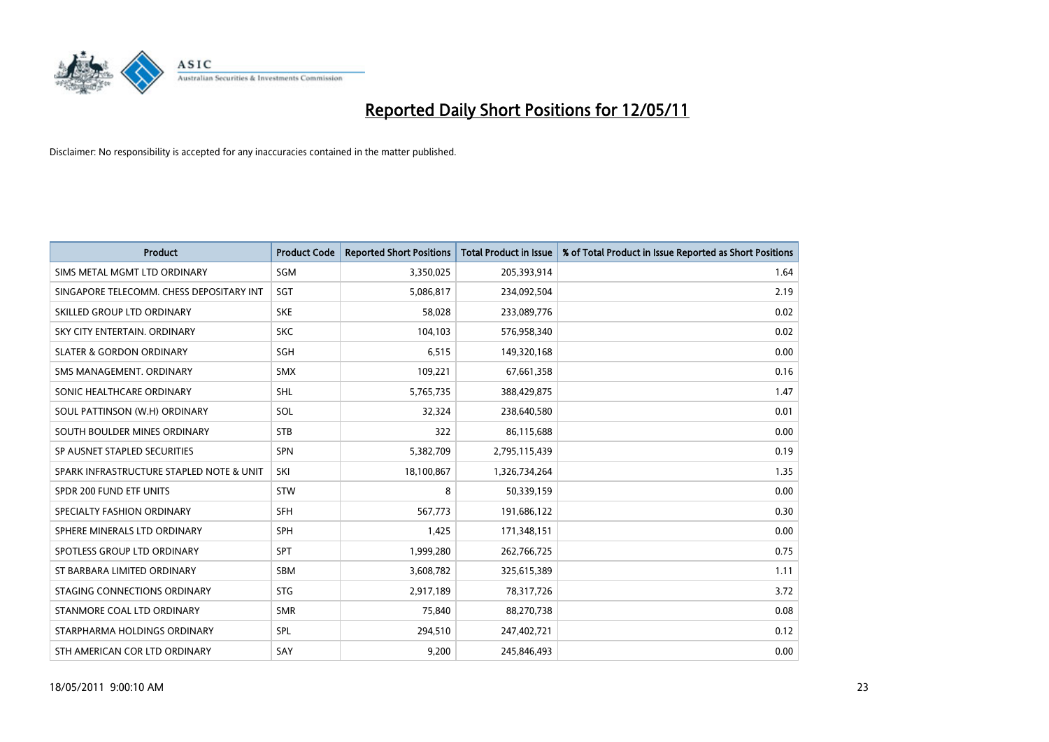

| <b>Product</b>                           | <b>Product Code</b> | <b>Reported Short Positions</b> | <b>Total Product in Issue</b> | % of Total Product in Issue Reported as Short Positions |
|------------------------------------------|---------------------|---------------------------------|-------------------------------|---------------------------------------------------------|
| SIMS METAL MGMT LTD ORDINARY             | SGM                 | 3,350,025                       | 205,393,914                   | 1.64                                                    |
| SINGAPORE TELECOMM. CHESS DEPOSITARY INT | SGT                 | 5,086,817                       | 234,092,504                   | 2.19                                                    |
| SKILLED GROUP LTD ORDINARY               | <b>SKE</b>          | 58.028                          | 233,089,776                   | 0.02                                                    |
| SKY CITY ENTERTAIN, ORDINARY             | <b>SKC</b>          | 104,103                         | 576,958,340                   | 0.02                                                    |
| <b>SLATER &amp; GORDON ORDINARY</b>      | SGH                 | 6,515                           | 149,320,168                   | 0.00                                                    |
| SMS MANAGEMENT, ORDINARY                 | <b>SMX</b>          | 109,221                         | 67,661,358                    | 0.16                                                    |
| SONIC HEALTHCARE ORDINARY                | <b>SHL</b>          | 5,765,735                       | 388,429,875                   | 1.47                                                    |
| SOUL PATTINSON (W.H) ORDINARY            | SOL                 | 32,324                          | 238,640,580                   | 0.01                                                    |
| SOUTH BOULDER MINES ORDINARY             | <b>STB</b>          | 322                             | 86,115,688                    | 0.00                                                    |
| SP AUSNET STAPLED SECURITIES             | SPN                 | 5,382,709                       | 2,795,115,439                 | 0.19                                                    |
| SPARK INFRASTRUCTURE STAPLED NOTE & UNIT | SKI                 | 18,100,867                      | 1,326,734,264                 | 1.35                                                    |
| SPDR 200 FUND ETF UNITS                  | <b>STW</b>          | 8                               | 50,339,159                    | 0.00                                                    |
| SPECIALTY FASHION ORDINARY               | <b>SFH</b>          | 567,773                         | 191,686,122                   | 0.30                                                    |
| SPHERE MINERALS LTD ORDINARY             | SPH                 | 1,425                           | 171,348,151                   | 0.00                                                    |
| SPOTLESS GROUP LTD ORDINARY              | SPT                 | 1,999,280                       | 262,766,725                   | 0.75                                                    |
| ST BARBARA LIMITED ORDINARY              | <b>SBM</b>          | 3,608,782                       | 325,615,389                   | 1.11                                                    |
| STAGING CONNECTIONS ORDINARY             | <b>STG</b>          | 2,917,189                       | 78,317,726                    | 3.72                                                    |
| STANMORE COAL LTD ORDINARY               | <b>SMR</b>          | 75,840                          | 88,270,738                    | 0.08                                                    |
| STARPHARMA HOLDINGS ORDINARY             | SPL                 | 294,510                         | 247,402,721                   | 0.12                                                    |
| STH AMERICAN COR LTD ORDINARY            | SAY                 | 9,200                           | 245,846,493                   | 0.00                                                    |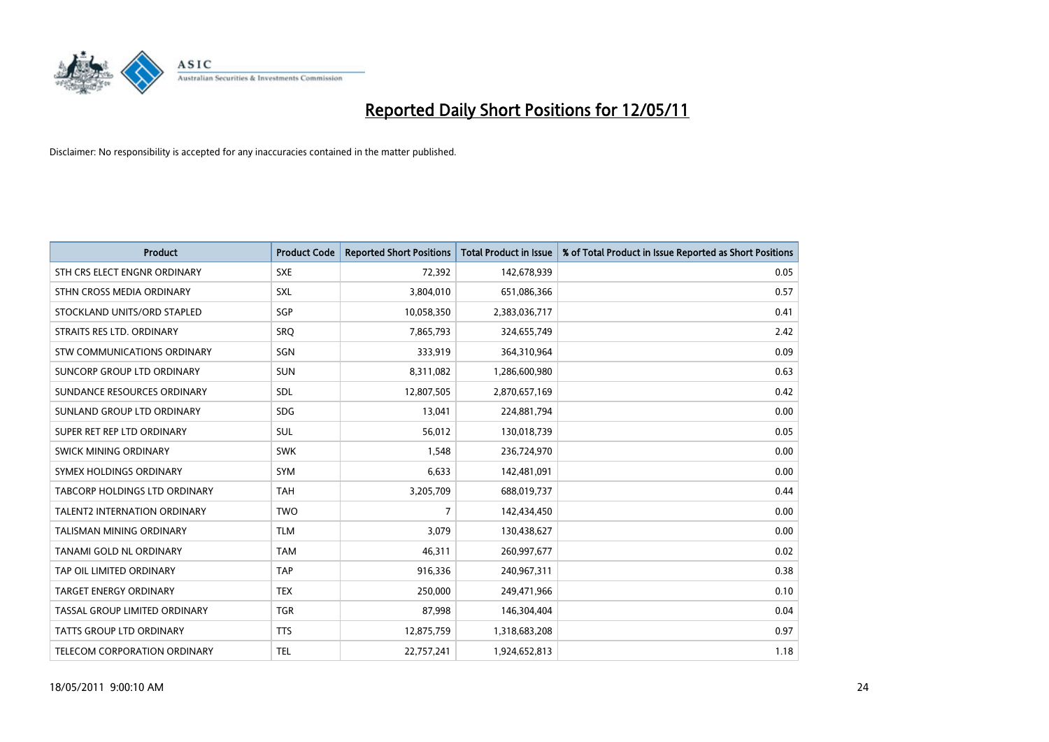

| <b>Product</b>                     | <b>Product Code</b> | <b>Reported Short Positions</b> | <b>Total Product in Issue</b> | % of Total Product in Issue Reported as Short Positions |
|------------------------------------|---------------------|---------------------------------|-------------------------------|---------------------------------------------------------|
| STH CRS ELECT ENGNR ORDINARY       | <b>SXE</b>          | 72,392                          | 142,678,939                   | 0.05                                                    |
| STHN CROSS MEDIA ORDINARY          | <b>SXL</b>          | 3,804,010                       | 651,086,366                   | 0.57                                                    |
| STOCKLAND UNITS/ORD STAPLED        | SGP                 | 10,058,350                      | 2,383,036,717                 | 0.41                                                    |
| STRAITS RES LTD. ORDINARY          | SRQ                 | 7,865,793                       | 324,655,749                   | 2.42                                                    |
| <b>STW COMMUNICATIONS ORDINARY</b> | SGN                 | 333,919                         | 364,310,964                   | 0.09                                                    |
| SUNCORP GROUP LTD ORDINARY         | <b>SUN</b>          | 8,311,082                       | 1,286,600,980                 | 0.63                                                    |
| SUNDANCE RESOURCES ORDINARY        | <b>SDL</b>          | 12,807,505                      | 2,870,657,169                 | 0.42                                                    |
| SUNLAND GROUP LTD ORDINARY         | <b>SDG</b>          | 13,041                          | 224,881,794                   | 0.00                                                    |
| SUPER RET REP LTD ORDINARY         | <b>SUL</b>          | 56,012                          | 130,018,739                   | 0.05                                                    |
| SWICK MINING ORDINARY              | <b>SWK</b>          | 1,548                           | 236,724,970                   | 0.00                                                    |
| SYMEX HOLDINGS ORDINARY            | <b>SYM</b>          | 6,633                           | 142,481,091                   | 0.00                                                    |
| TABCORP HOLDINGS LTD ORDINARY      | <b>TAH</b>          | 3,205,709                       | 688,019,737                   | 0.44                                                    |
| TALENT2 INTERNATION ORDINARY       | <b>TWO</b>          | $\overline{7}$                  | 142,434,450                   | 0.00                                                    |
| <b>TALISMAN MINING ORDINARY</b>    | <b>TLM</b>          | 3,079                           | 130,438,627                   | 0.00                                                    |
| <b>TANAMI GOLD NL ORDINARY</b>     | <b>TAM</b>          | 46,311                          | 260,997,677                   | 0.02                                                    |
| TAP OIL LIMITED ORDINARY           | <b>TAP</b>          | 916,336                         | 240,967,311                   | 0.38                                                    |
| TARGET ENERGY ORDINARY             | <b>TEX</b>          | 250,000                         | 249,471,966                   | 0.10                                                    |
| TASSAL GROUP LIMITED ORDINARY      | <b>TGR</b>          | 87,998                          | 146,304,404                   | 0.04                                                    |
| <b>TATTS GROUP LTD ORDINARY</b>    | <b>TTS</b>          | 12,875,759                      | 1,318,683,208                 | 0.97                                                    |
| TELECOM CORPORATION ORDINARY       | <b>TEL</b>          | 22,757,241                      | 1,924,652,813                 | 1.18                                                    |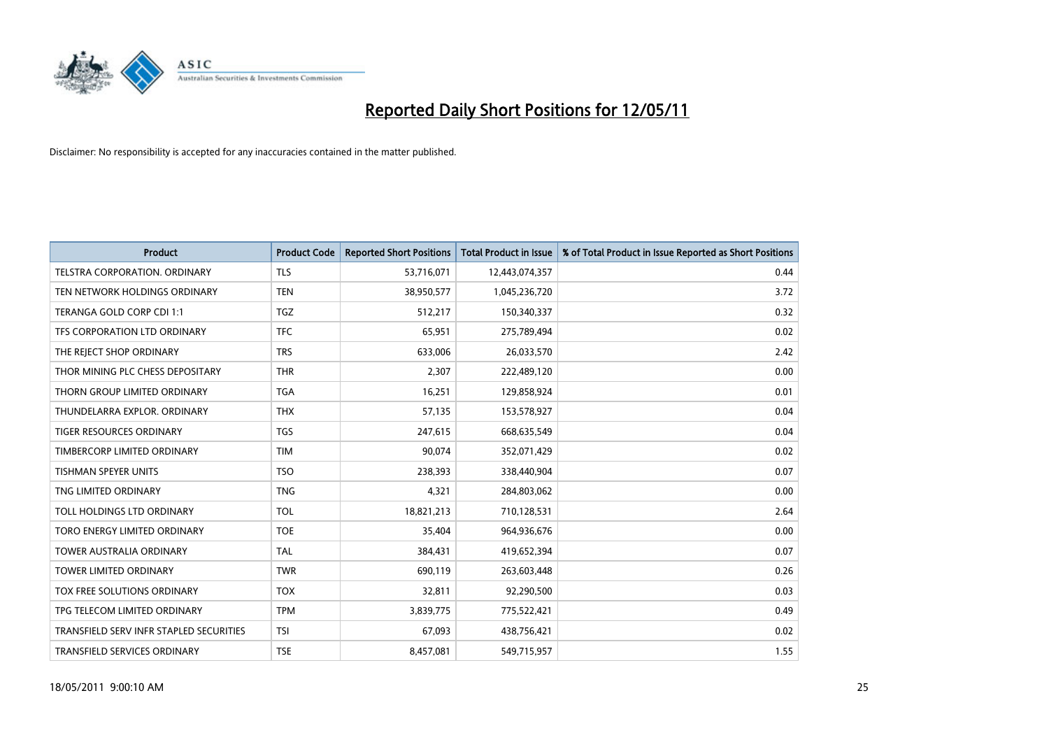

| <b>Product</b>                          | <b>Product Code</b> | <b>Reported Short Positions</b> | Total Product in Issue | % of Total Product in Issue Reported as Short Positions |
|-----------------------------------------|---------------------|---------------------------------|------------------------|---------------------------------------------------------|
| <b>TELSTRA CORPORATION, ORDINARY</b>    | <b>TLS</b>          | 53,716,071                      | 12,443,074,357         | 0.44                                                    |
| TEN NETWORK HOLDINGS ORDINARY           | <b>TEN</b>          | 38,950,577                      | 1,045,236,720          | 3.72                                                    |
| TERANGA GOLD CORP CDI 1:1               | <b>TGZ</b>          | 512,217                         | 150,340,337            | 0.32                                                    |
| TFS CORPORATION LTD ORDINARY            | <b>TFC</b>          | 65,951                          | 275,789,494            | 0.02                                                    |
| THE REJECT SHOP ORDINARY                | <b>TRS</b>          | 633,006                         | 26,033,570             | 2.42                                                    |
| THOR MINING PLC CHESS DEPOSITARY        | <b>THR</b>          | 2,307                           | 222,489,120            | 0.00                                                    |
| THORN GROUP LIMITED ORDINARY            | <b>TGA</b>          | 16,251                          | 129,858,924            | 0.01                                                    |
| THUNDELARRA EXPLOR, ORDINARY            | <b>THX</b>          | 57,135                          | 153,578,927            | 0.04                                                    |
| TIGER RESOURCES ORDINARY                | <b>TGS</b>          | 247,615                         | 668,635,549            | 0.04                                                    |
| TIMBERCORP LIMITED ORDINARY             | <b>TIM</b>          | 90,074                          | 352,071,429            | 0.02                                                    |
| TISHMAN SPEYER UNITS                    | <b>TSO</b>          | 238,393                         | 338,440,904            | 0.07                                                    |
| TNG LIMITED ORDINARY                    | <b>TNG</b>          | 4,321                           | 284,803,062            | 0.00                                                    |
| TOLL HOLDINGS LTD ORDINARY              | <b>TOL</b>          | 18,821,213                      | 710,128,531            | 2.64                                                    |
| TORO ENERGY LIMITED ORDINARY            | <b>TOE</b>          | 35,404                          | 964,936,676            | 0.00                                                    |
| <b>TOWER AUSTRALIA ORDINARY</b>         | <b>TAL</b>          | 384,431                         | 419,652,394            | 0.07                                                    |
| <b>TOWER LIMITED ORDINARY</b>           | <b>TWR</b>          | 690,119                         | 263,603,448            | 0.26                                                    |
| <b>TOX FREE SOLUTIONS ORDINARY</b>      | <b>TOX</b>          | 32,811                          | 92,290,500             | 0.03                                                    |
| TPG TELECOM LIMITED ORDINARY            | <b>TPM</b>          | 3,839,775                       | 775,522,421            | 0.49                                                    |
| TRANSFIELD SERV INFR STAPLED SECURITIES | <b>TSI</b>          | 67,093                          | 438,756,421            | 0.02                                                    |
| TRANSFIELD SERVICES ORDINARY            | <b>TSE</b>          | 8,457,081                       | 549,715,957            | 1.55                                                    |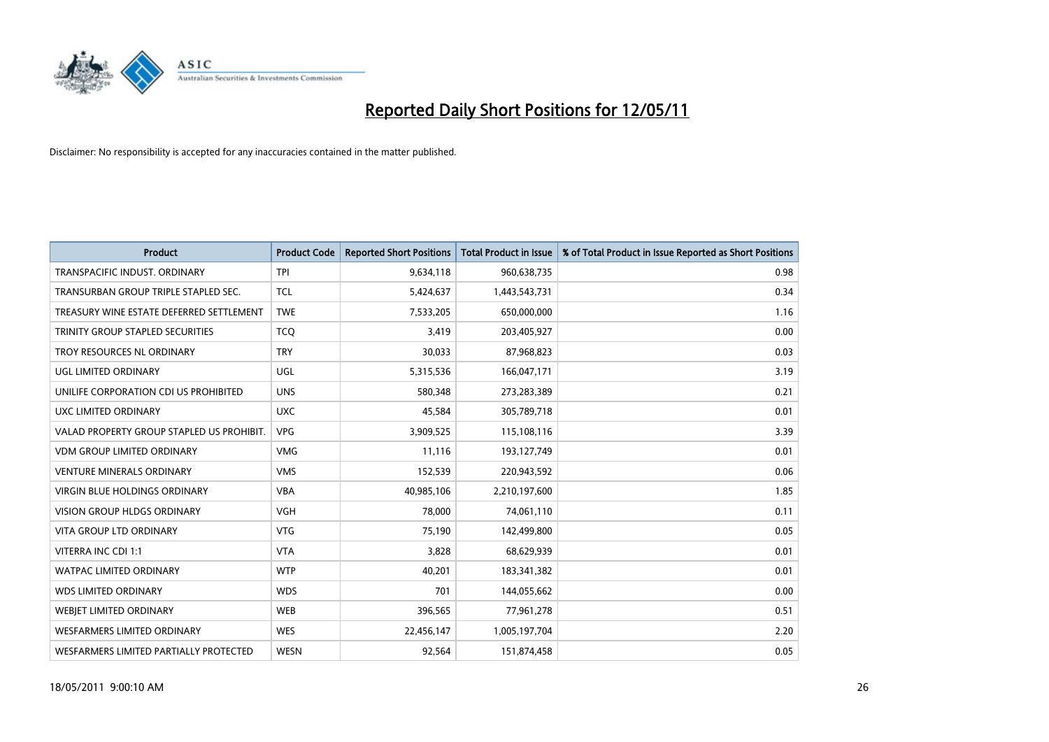

| <b>Product</b>                            | <b>Product Code</b> | <b>Reported Short Positions</b> | <b>Total Product in Issue</b> | % of Total Product in Issue Reported as Short Positions |
|-------------------------------------------|---------------------|---------------------------------|-------------------------------|---------------------------------------------------------|
| TRANSPACIFIC INDUST, ORDINARY             | <b>TPI</b>          | 9,634,118                       | 960,638,735                   | 0.98                                                    |
| TRANSURBAN GROUP TRIPLE STAPLED SEC.      | <b>TCL</b>          | 5,424,637                       | 1,443,543,731                 | 0.34                                                    |
| TREASURY WINE ESTATE DEFERRED SETTLEMENT  | <b>TWE</b>          | 7,533,205                       | 650,000,000                   | 1.16                                                    |
| TRINITY GROUP STAPLED SECURITIES          | <b>TCQ</b>          | 3,419                           | 203,405,927                   | 0.00                                                    |
| TROY RESOURCES NL ORDINARY                | <b>TRY</b>          | 30,033                          | 87,968,823                    | 0.03                                                    |
| UGL LIMITED ORDINARY                      | UGL                 | 5,315,536                       | 166,047,171                   | 3.19                                                    |
| UNILIFE CORPORATION CDI US PROHIBITED     | <b>UNS</b>          | 580.348                         | 273,283,389                   | 0.21                                                    |
| UXC LIMITED ORDINARY                      | <b>UXC</b>          | 45,584                          | 305,789,718                   | 0.01                                                    |
| VALAD PROPERTY GROUP STAPLED US PROHIBIT. | <b>VPG</b>          | 3,909,525                       | 115,108,116                   | 3.39                                                    |
| <b>VDM GROUP LIMITED ORDINARY</b>         | <b>VMG</b>          | 11,116                          | 193,127,749                   | 0.01                                                    |
| <b>VENTURE MINERALS ORDINARY</b>          | <b>VMS</b>          | 152,539                         | 220,943,592                   | 0.06                                                    |
| <b>VIRGIN BLUE HOLDINGS ORDINARY</b>      | <b>VBA</b>          | 40,985,106                      | 2,210,197,600                 | 1.85                                                    |
| <b>VISION GROUP HLDGS ORDINARY</b>        | <b>VGH</b>          | 78.000                          | 74,061,110                    | 0.11                                                    |
| <b>VITA GROUP LTD ORDINARY</b>            | <b>VTG</b>          | 75,190                          | 142,499,800                   | 0.05                                                    |
| VITERRA INC CDI 1:1                       | <b>VTA</b>          | 3,828                           | 68,629,939                    | 0.01                                                    |
| <b>WATPAC LIMITED ORDINARY</b>            | <b>WTP</b>          | 40,201                          | 183,341,382                   | 0.01                                                    |
| <b>WDS LIMITED ORDINARY</b>               | <b>WDS</b>          | 701                             | 144,055,662                   | 0.00                                                    |
| WEBIET LIMITED ORDINARY                   | <b>WEB</b>          | 396,565                         | 77,961,278                    | 0.51                                                    |
| <b>WESFARMERS LIMITED ORDINARY</b>        | <b>WES</b>          | 22,456,147                      | 1,005,197,704                 | 2.20                                                    |
| WESFARMERS LIMITED PARTIALLY PROTECTED    | <b>WESN</b>         | 92.564                          | 151,874,458                   | 0.05                                                    |